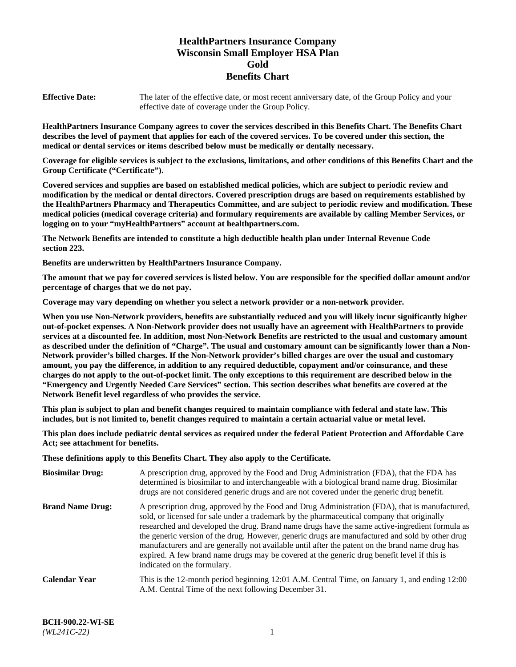# **HealthPartners Insurance Company Wisconsin Small Employer HSA Plan Gold Benefits Chart**

**Effective Date:** The later of the effective date, or most recent anniversary date, of the Group Policy and your effective date of coverage under the Group Policy.

**HealthPartners Insurance Company agrees to cover the services described in this Benefits Chart. The Benefits Chart describes the level of payment that applies for each of the covered services. To be covered under this section, the medical or dental services or items described below must be medically or dentally necessary.**

**Coverage for eligible services is subject to the exclusions, limitations, and other conditions of this Benefits Chart and the Group Certificate ("Certificate").**

**Covered services and supplies are based on established medical policies, which are subject to periodic review and modification by the medical or dental directors. Covered prescription drugs are based on requirements established by the HealthPartners Pharmacy and Therapeutics Committee, and are subject to periodic review and modification. These medical policies (medical coverage criteria) and formulary requirements are available by calling Member Services, or logging on to your "myHealthPartners" account at [healthpartners.com.](https://www.healthpartners.com/hp/index.html)** 

**The Network Benefits are intended to constitute a high deductible health plan under Internal Revenue Code section 223.**

**Benefits are underwritten by HealthPartners Insurance Company.**

**The amount that we pay for covered services is listed below. You are responsible for the specified dollar amount and/or percentage of charges that we do not pay.**

**Coverage may vary depending on whether you select a network provider or a non-network provider.**

**When you use Non-Network providers, benefits are substantially reduced and you will likely incur significantly higher out-of-pocket expenses. A Non-Network provider does not usually have an agreement with HealthPartners to provide services at a discounted fee. In addition, most Non-Network Benefits are restricted to the usual and customary amount as described under the definition of "Charge". The usual and customary amount can be significantly lower than a Non-Network provider's billed charges. If the Non-Network provider's billed charges are over the usual and customary amount, you pay the difference, in addition to any required deductible, copayment and/or coinsurance, and these charges do not apply to the out-of-pocket limit. The only exceptions to this requirement are described below in the "Emergency and Urgently Needed Care Services" section. This section describes what benefits are covered at the Network Benefit level regardless of who provides the service.**

**This plan is subject to plan and benefit changes required to maintain compliance with federal and state law. This includes, but is not limited to, benefit changes required to maintain a certain actuarial value or metal level.**

**This plan does include pediatric dental services as required under the federal Patient Protection and Affordable Care Act; see attachment for benefits.**

**These definitions apply to this Benefits Chart. They also apply to the Certificate.**

| <b>Biosimilar Drug:</b> | A prescription drug, approved by the Food and Drug Administration (FDA), that the FDA has<br>determined is biosimilar to and interchangeable with a biological brand name drug. Biosimilar<br>drugs are not considered generic drugs and are not covered under the generic drug benefit.                                                                                                                                                                                                                                                                                                                                           |
|-------------------------|------------------------------------------------------------------------------------------------------------------------------------------------------------------------------------------------------------------------------------------------------------------------------------------------------------------------------------------------------------------------------------------------------------------------------------------------------------------------------------------------------------------------------------------------------------------------------------------------------------------------------------|
| <b>Brand Name Drug:</b> | A prescription drug, approved by the Food and Drug Administration (FDA), that is manufactured,<br>sold, or licensed for sale under a trademark by the pharmaceutical company that originally<br>researched and developed the drug. Brand name drugs have the same active-ingredient formula as<br>the generic version of the drug. However, generic drugs are manufactured and sold by other drug<br>manufacturers and are generally not available until after the patent on the brand name drug has<br>expired. A few brand name drugs may be covered at the generic drug benefit level if this is<br>indicated on the formulary. |
| Calendar Year           | This is the 12-month period beginning 12:01 A.M. Central Time, on January 1, and ending 12:00<br>A.M. Central Time of the next following December 31.                                                                                                                                                                                                                                                                                                                                                                                                                                                                              |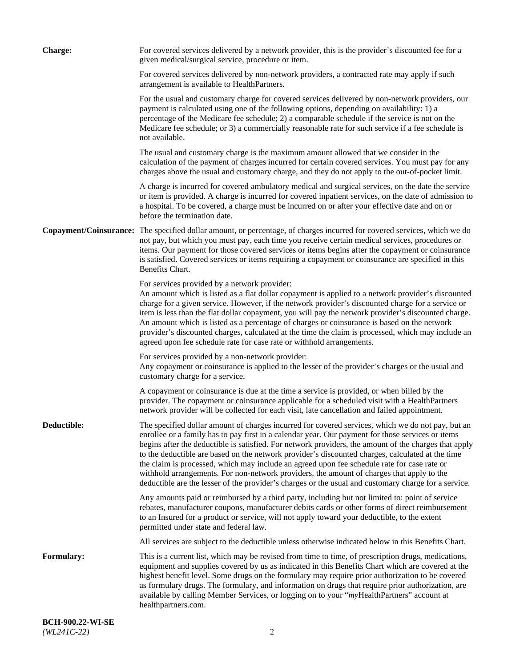| <b>Charge:</b>    | For covered services delivered by a network provider, this is the provider's discounted fee for a<br>given medical/surgical service, procedure or item.                                                                                                                                                                                                                                                                                                                                                                                                                                                                                                                                                                 |
|-------------------|-------------------------------------------------------------------------------------------------------------------------------------------------------------------------------------------------------------------------------------------------------------------------------------------------------------------------------------------------------------------------------------------------------------------------------------------------------------------------------------------------------------------------------------------------------------------------------------------------------------------------------------------------------------------------------------------------------------------------|
|                   | For covered services delivered by non-network providers, a contracted rate may apply if such<br>arrangement is available to HealthPartners.                                                                                                                                                                                                                                                                                                                                                                                                                                                                                                                                                                             |
|                   | For the usual and customary charge for covered services delivered by non-network providers, our<br>payment is calculated using one of the following options, depending on availability: 1) a<br>percentage of the Medicare fee schedule; 2) a comparable schedule if the service is not on the<br>Medicare fee schedule; or 3) a commercially reasonable rate for such service if a fee schedule is<br>not available.                                                                                                                                                                                                                                                                                                   |
|                   | The usual and customary charge is the maximum amount allowed that we consider in the<br>calculation of the payment of charges incurred for certain covered services. You must pay for any<br>charges above the usual and customary charge, and they do not apply to the out-of-pocket limit.                                                                                                                                                                                                                                                                                                                                                                                                                            |
|                   | A charge is incurred for covered ambulatory medical and surgical services, on the date the service<br>or item is provided. A charge is incurred for covered inpatient services, on the date of admission to<br>a hospital. To be covered, a charge must be incurred on or after your effective date and on or<br>before the termination date.                                                                                                                                                                                                                                                                                                                                                                           |
|                   | Copayment/Coinsurance: The specified dollar amount, or percentage, of charges incurred for covered services, which we do<br>not pay, but which you must pay, each time you receive certain medical services, procedures or<br>items. Our payment for those covered services or items begins after the copayment or coinsurance<br>is satisfied. Covered services or items requiring a copayment or coinsurance are specified in this<br>Benefits Chart.                                                                                                                                                                                                                                                                 |
|                   | For services provided by a network provider:<br>An amount which is listed as a flat dollar copayment is applied to a network provider's discounted<br>charge for a given service. However, if the network provider's discounted charge for a service or<br>item is less than the flat dollar copayment, you will pay the network provider's discounted charge.<br>An amount which is listed as a percentage of charges or coinsurance is based on the network<br>provider's discounted charges, calculated at the time the claim is processed, which may include an<br>agreed upon fee schedule rate for case rate or withhold arrangements.                                                                            |
|                   | For services provided by a non-network provider:<br>Any copayment or coinsurance is applied to the lesser of the provider's charges or the usual and<br>customary charge for a service.                                                                                                                                                                                                                                                                                                                                                                                                                                                                                                                                 |
|                   | A copayment or coinsurance is due at the time a service is provided, or when billed by the<br>provider. The copayment or coinsurance applicable for a scheduled visit with a HealthPartners<br>network provider will be collected for each visit, late cancellation and failed appointment.                                                                                                                                                                                                                                                                                                                                                                                                                             |
| Deductible:       | The specified dollar amount of charges incurred for covered services, which we do not pay, but an<br>enrollee or a family has to pay first in a calendar year. Our payment for those services or items<br>begins after the deductible is satisfied. For network providers, the amount of the charges that apply<br>to the deductible are based on the network provider's discounted charges, calculated at the time<br>the claim is processed, which may include an agreed upon fee schedule rate for case rate or<br>withhold arrangements. For non-network providers, the amount of charges that apply to the<br>deductible are the lesser of the provider's charges or the usual and customary charge for a service. |
|                   | Any amounts paid or reimbursed by a third party, including but not limited to: point of service<br>rebates, manufacturer coupons, manufacturer debits cards or other forms of direct reimbursement<br>to an Insured for a product or service, will not apply toward your deductible, to the extent<br>permitted under state and federal law.                                                                                                                                                                                                                                                                                                                                                                            |
|                   | All services are subject to the deductible unless otherwise indicated below in this Benefits Chart.                                                                                                                                                                                                                                                                                                                                                                                                                                                                                                                                                                                                                     |
| <b>Formulary:</b> | This is a current list, which may be revised from time to time, of prescription drugs, medications,<br>equipment and supplies covered by us as indicated in this Benefits Chart which are covered at the<br>highest benefit level. Some drugs on the formulary may require prior authorization to be covered<br>as formulary drugs. The formulary, and information on drugs that require prior authorization, are<br>available by calling Member Services, or logging on to your "myHealthPartners" account at<br>healthpartners.com.                                                                                                                                                                                   |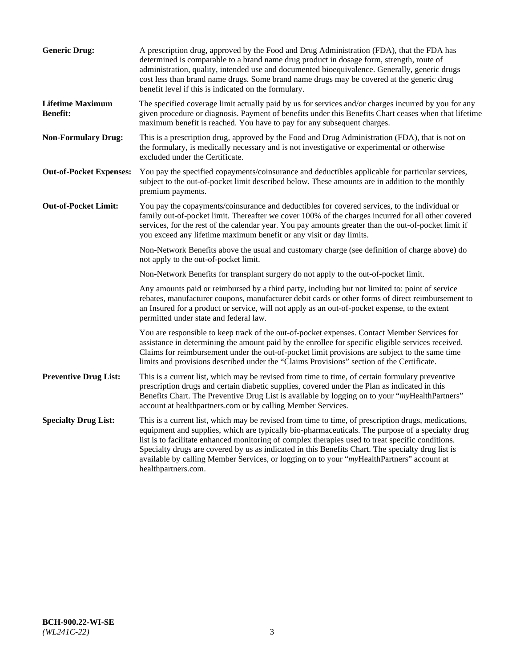| <b>Generic Drug:</b>                       | A prescription drug, approved by the Food and Drug Administration (FDA), that the FDA has<br>determined is comparable to a brand name drug product in dosage form, strength, route of<br>administration, quality, intended use and documented bioequivalence. Generally, generic drugs<br>cost less than brand name drugs. Some brand name drugs may be covered at the generic drug<br>benefit level if this is indicated on the formulary.                                                                                           |
|--------------------------------------------|---------------------------------------------------------------------------------------------------------------------------------------------------------------------------------------------------------------------------------------------------------------------------------------------------------------------------------------------------------------------------------------------------------------------------------------------------------------------------------------------------------------------------------------|
| <b>Lifetime Maximum</b><br><b>Benefit:</b> | The specified coverage limit actually paid by us for services and/or charges incurred by you for any<br>given procedure or diagnosis. Payment of benefits under this Benefits Chart ceases when that lifetime<br>maximum benefit is reached. You have to pay for any subsequent charges.                                                                                                                                                                                                                                              |
| <b>Non-Formulary Drug:</b>                 | This is a prescription drug, approved by the Food and Drug Administration (FDA), that is not on<br>the formulary, is medically necessary and is not investigative or experimental or otherwise<br>excluded under the Certificate.                                                                                                                                                                                                                                                                                                     |
| <b>Out-of-Pocket Expenses:</b>             | You pay the specified copayments/coinsurance and deductibles applicable for particular services,<br>subject to the out-of-pocket limit described below. These amounts are in addition to the monthly<br>premium payments.                                                                                                                                                                                                                                                                                                             |
| <b>Out-of-Pocket Limit:</b>                | You pay the copayments/coinsurance and deductibles for covered services, to the individual or<br>family out-of-pocket limit. Thereafter we cover 100% of the charges incurred for all other covered<br>services, for the rest of the calendar year. You pay amounts greater than the out-of-pocket limit if<br>you exceed any lifetime maximum benefit or any visit or day limits.                                                                                                                                                    |
|                                            | Non-Network Benefits above the usual and customary charge (see definition of charge above) do<br>not apply to the out-of-pocket limit.                                                                                                                                                                                                                                                                                                                                                                                                |
|                                            | Non-Network Benefits for transplant surgery do not apply to the out-of-pocket limit.                                                                                                                                                                                                                                                                                                                                                                                                                                                  |
|                                            | Any amounts paid or reimbursed by a third party, including but not limited to: point of service<br>rebates, manufacturer coupons, manufacturer debit cards or other forms of direct reimbursement to<br>an Insured for a product or service, will not apply as an out-of-pocket expense, to the extent<br>permitted under state and federal law.                                                                                                                                                                                      |
|                                            | You are responsible to keep track of the out-of-pocket expenses. Contact Member Services for<br>assistance in determining the amount paid by the enrollee for specific eligible services received.<br>Claims for reimbursement under the out-of-pocket limit provisions are subject to the same time<br>limits and provisions described under the "Claims Provisions" section of the Certificate.                                                                                                                                     |
| <b>Preventive Drug List:</b>               | This is a current list, which may be revised from time to time, of certain formulary preventive<br>prescription drugs and certain diabetic supplies, covered under the Plan as indicated in this<br>Benefits Chart. The Preventive Drug List is available by logging on to your "myHealthPartners"<br>account at healthpartners.com or by calling Member Services.                                                                                                                                                                    |
| <b>Specialty Drug List:</b>                | This is a current list, which may be revised from time to time, of prescription drugs, medications,<br>equipment and supplies, which are typically bio-pharmaceuticals. The purpose of a specialty drug<br>list is to facilitate enhanced monitoring of complex therapies used to treat specific conditions.<br>Specialty drugs are covered by us as indicated in this Benefits Chart. The specialty drug list is<br>available by calling Member Services, or logging on to your "myHealthPartners" account at<br>healthpartners.com. |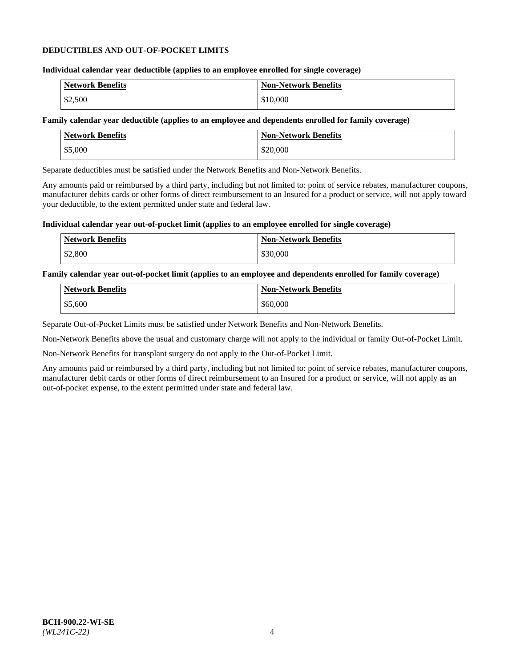## **DEDUCTIBLES AND OUT-OF-POCKET LIMITS**

## **Individual calendar year deductible (applies to an employee enrolled for single coverage)**

| <b>Network Benefits</b> | <b>Non-Network Benefits</b> |
|-------------------------|-----------------------------|
| \$2,500                 | \$10,000                    |

### **Family calendar year deductible (applies to an employee and dependents enrolled for family coverage)**

| <b>Network Benefits</b> | <b>Non-Network Benefits</b> |
|-------------------------|-----------------------------|
| \$5,000                 | \$20,000                    |

Separate deductibles must be satisfied under the Network Benefits and Non-Network Benefits.

Any amounts paid or reimbursed by a third party, including but not limited to: point of service rebates, manufacturer coupons, manufacturer debits cards or other forms of direct reimbursement to an Insured for a product or service, will not apply toward your deductible, to the extent permitted under state and federal law.

### **Individual calendar year out-of-pocket limit (applies to an employee enrolled for single coverage)**

| <b>Network Benefits</b> | <b>Non-Network Benefits</b> |
|-------------------------|-----------------------------|
| \$2,800                 | \$30,000                    |

### **Family calendar year out-of-pocket limit (applies to an employee and dependents enrolled for family coverage)**

| <b>Network Benefits</b> | <b>Non-Network Benefits</b> |
|-------------------------|-----------------------------|
| \$5,600                 | \$60,000                    |

Separate Out-of-Pocket Limits must be satisfied under Network Benefits and Non-Network Benefits.

Non-Network Benefits above the usual and customary charge will not apply to the individual or family Out-of-Pocket Limit.

Non-Network Benefits for transplant surgery do not apply to the Out-of-Pocket Limit.

Any amounts paid or reimbursed by a third party, including but not limited to: point of service rebates, manufacturer coupons, manufacturer debit cards or other forms of direct reimbursement to an Insured for a product or service, will not apply as an out-of-pocket expense, to the extent permitted under state and federal law.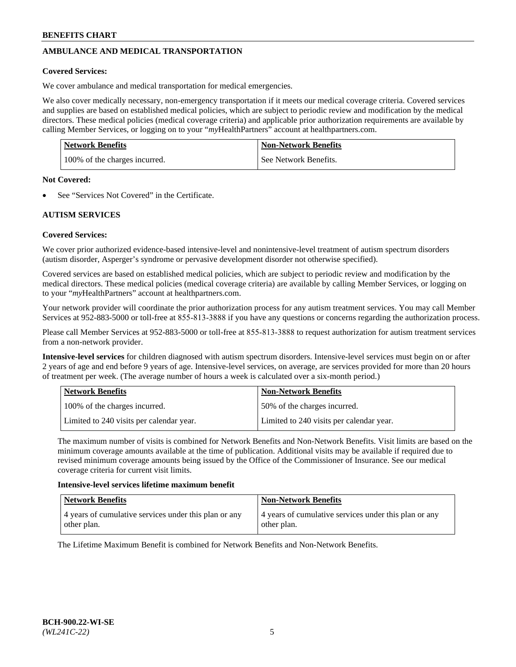# **AMBULANCE AND MEDICAL TRANSPORTATION**

## **Covered Services:**

We cover ambulance and medical transportation for medical emergencies.

We also cover medically necessary, non-emergency transportation if it meets our medical coverage criteria. Covered services and supplies are based on established medical policies, which are subject to periodic review and modification by the medical directors. These medical policies (medical coverage criteria) and applicable prior authorization requirements are available by calling Member Services, or logging on to your "*my*HealthPartners" account a[t healthpartners.com.](https://www.healthpartners.com/hp/index.html)

| Network Benefits              | <b>Non-Network Benefits</b> |
|-------------------------------|-----------------------------|
| 100% of the charges incurred. | See Network Benefits.       |

#### **Not Covered:**

See "Services Not Covered" in the Certificate.

## **AUTISM SERVICES**

## **Covered Services:**

We cover prior authorized evidence-based intensive-level and nonintensive-level treatment of autism spectrum disorders (autism disorder, Asperger's syndrome or pervasive development disorder not otherwise specified).

Covered services are based on established medical policies, which are subject to periodic review and modification by the medical directors. These medical policies (medical coverage criteria) are available by calling Member Services, or logging on to your "*my*HealthPartners" account at [healthpartners.com.](https://www.healthpartners.com/hp/index.html)

Your network provider will coordinate the prior authorization process for any autism treatment services. You may call Member Services at 952-883-5000 or toll-free at 855-813-3888 if you have any questions or concerns regarding the authorization process.

Please call Member Services at 952-883-5000 or toll-free at 855-813-3888 to request authorization for autism treatment services from a non-network provider.

**Intensive-level services** for children diagnosed with autism spectrum disorders. Intensive-level services must begin on or after 2 years of age and end before 9 years of age. Intensive-level services, on average, are services provided for more than 20 hours of treatment per week. (The average number of hours a week is calculated over a six-month period.)

| Network Benefits                         | <b>Non-Network Benefits</b>              |
|------------------------------------------|------------------------------------------|
| 100% of the charges incurred.            | 50% of the charges incurred.             |
| Limited to 240 visits per calendar year. | Limited to 240 visits per calendar year. |

The maximum number of visits is combined for Network Benefits and Non-Network Benefits. Visit limits are based on the minimum coverage amounts available at the time of publication. Additional visits may be available if required due to revised minimum coverage amounts being issued by the Office of the Commissioner of Insurance. See our medical coverage criteria for current visit limits.

#### **Intensive-level services lifetime maximum benefit**

| <b>Network Benefits</b>                               | <b>Non-Network Benefits</b>                           |
|-------------------------------------------------------|-------------------------------------------------------|
| 4 years of cumulative services under this plan or any | 4 years of cumulative services under this plan or any |
| other plan.                                           | other plan.                                           |

The Lifetime Maximum Benefit is combined for Network Benefits and Non-Network Benefits.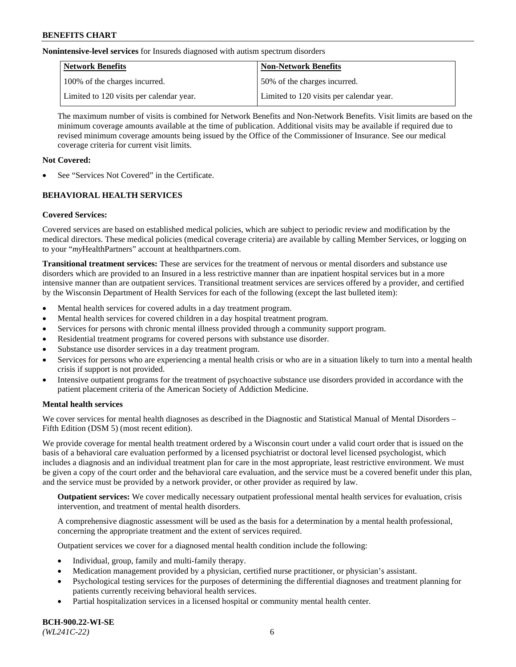**Nonintensive-level services** for Insureds diagnosed with autism spectrum disorders

| Network Benefits                         | <b>Non-Network Benefits</b>              |
|------------------------------------------|------------------------------------------|
| 100% of the charges incurred.            | 50% of the charges incurred.             |
| Limited to 120 visits per calendar year. | Limited to 120 visits per calendar year. |

The maximum number of visits is combined for Network Benefits and Non-Network Benefits. Visit limits are based on the minimum coverage amounts available at the time of publication. Additional visits may be available if required due to revised minimum coverage amounts being issued by the Office of the Commissioner of Insurance. See our medical coverage criteria for current visit limits.

## **Not Covered:**

See "Services Not Covered" in the Certificate.

## **BEHAVIORAL HEALTH SERVICES**

## **Covered Services:**

Covered services are based on established medical policies, which are subject to periodic review and modification by the medical directors. These medical policies (medical coverage criteria) are available by calling Member Services, or logging on to your "*my*HealthPartners" account at [healthpartners.com.](https://www.healthpartners.com/hp/index.html)

**Transitional treatment services:** These are services for the treatment of nervous or mental disorders and substance use disorders which are provided to an Insured in a less restrictive manner than are inpatient hospital services but in a more intensive manner than are outpatient services. Transitional treatment services are services offered by a provider, and certified by the Wisconsin Department of Health Services for each of the following (except the last bulleted item):

- Mental health services for covered adults in a day treatment program.
- Mental health services for covered children in a day hospital treatment program.
- Services for persons with chronic mental illness provided through a community support program.
- Residential treatment programs for covered persons with substance use disorder.
- Substance use disorder services in a day treatment program.
- Services for persons who are experiencing a mental health crisis or who are in a situation likely to turn into a mental health crisis if support is not provided.
- Intensive outpatient programs for the treatment of psychoactive substance use disorders provided in accordance with the patient placement criteria of the American Society of Addiction Medicine.

## **Mental health services**

We cover services for mental health diagnoses as described in the Diagnostic and Statistical Manual of Mental Disorders – Fifth Edition (DSM 5) (most recent edition).

We provide coverage for mental health treatment ordered by a Wisconsin court under a valid court order that is issued on the basis of a behavioral care evaluation performed by a licensed psychiatrist or doctoral level licensed psychologist, which includes a diagnosis and an individual treatment plan for care in the most appropriate, least restrictive environment. We must be given a copy of the court order and the behavioral care evaluation, and the service must be a covered benefit under this plan, and the service must be provided by a network provider, or other provider as required by law.

**Outpatient services:** We cover medically necessary outpatient professional mental health services for evaluation, crisis intervention, and treatment of mental health disorders.

A comprehensive diagnostic assessment will be used as the basis for a determination by a mental health professional, concerning the appropriate treatment and the extent of services required.

Outpatient services we cover for a diagnosed mental health condition include the following:

- Individual, group, family and multi-family therapy.
- Medication management provided by a physician, certified nurse practitioner, or physician's assistant.
- Psychological testing services for the purposes of determining the differential diagnoses and treatment planning for patients currently receiving behavioral health services.
- Partial hospitalization services in a licensed hospital or community mental health center.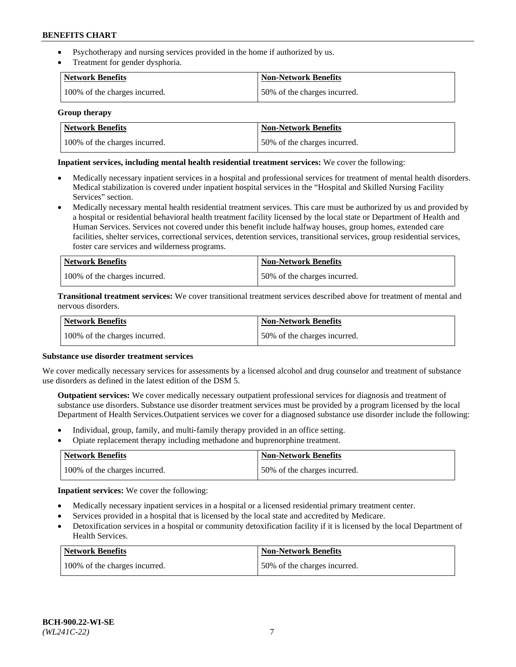- Psychotherapy and nursing services provided in the home if authorized by us.
- Treatment for gender dysphoria.

| Network Benefits              | <b>Non-Network Benefits</b>  |
|-------------------------------|------------------------------|
| 100% of the charges incurred. | 50% of the charges incurred. |

#### **Group therapy**

| Network Benefits              | Non-Network Benefits         |
|-------------------------------|------------------------------|
| 100% of the charges incurred. | 50% of the charges incurred. |

## **Inpatient services, including mental health residential treatment services:** We cover the following:

- Medically necessary inpatient services in a hospital and professional services for treatment of mental health disorders. Medical stabilization is covered under inpatient hospital services in the "Hospital and Skilled Nursing Facility Services" section.
- Medically necessary mental health residential treatment services. This care must be authorized by us and provided by a hospital or residential behavioral health treatment facility licensed by the local state or Department of Health and Human Services. Services not covered under this benefit include halfway houses, group homes, extended care facilities, shelter services, correctional services, detention services, transitional services, group residential services, foster care services and wilderness programs.

| Network Benefits              | <b>Non-Network Benefits</b>  |
|-------------------------------|------------------------------|
| 100% of the charges incurred. | 50% of the charges incurred. |

**Transitional treatment services:** We cover transitional treatment services described above for treatment of mental and nervous disorders.

| Network Benefits              | Non-Network Benefits         |
|-------------------------------|------------------------------|
| 100% of the charges incurred. | 50% of the charges incurred. |

#### **Substance use disorder treatment services**

We cover medically necessary services for assessments by a licensed alcohol and drug counselor and treatment of substance use disorders as defined in the latest edition of the DSM 5.

**Outpatient services:** We cover medically necessary outpatient professional services for diagnosis and treatment of substance use disorders. Substance use disorder treatment services must be provided by a program licensed by the local Department of Health Services.Outpatient services we cover for a diagnosed substance use disorder include the following:

- Individual, group, family, and multi-family therapy provided in an office setting.
- Opiate replacement therapy including methadone and buprenorphine treatment.

| Network Benefits              | <b>Non-Network Benefits</b>  |
|-------------------------------|------------------------------|
| 100% of the charges incurred. | 50% of the charges incurred. |

**Inpatient services:** We cover the following:

- Medically necessary inpatient services in a hospital or a licensed residential primary treatment center.
- Services provided in a hospital that is licensed by the local state and accredited by Medicare.
- Detoxification services in a hospital or community detoxification facility if it is licensed by the local Department of Health Services.

| Network Benefits              | <b>Non-Network Benefits</b>  |
|-------------------------------|------------------------------|
| 100% of the charges incurred. | 50% of the charges incurred. |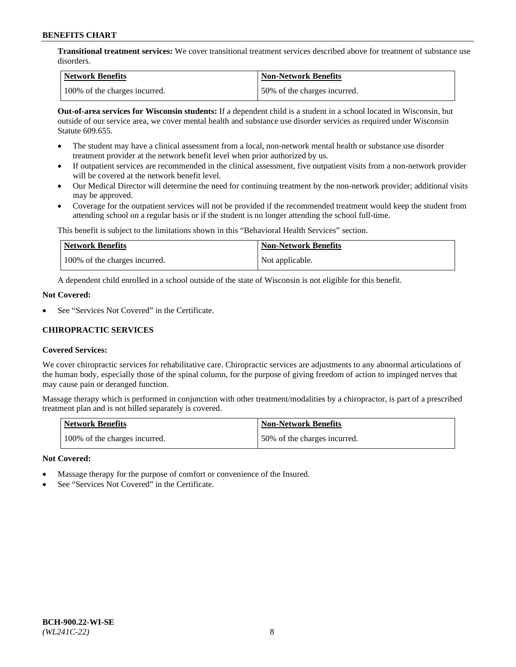**Transitional treatment services:** We cover transitional treatment services described above for treatment of substance use disorders.

| Network Benefits              | Non-Network Benefits         |
|-------------------------------|------------------------------|
| 100% of the charges incurred. | 50% of the charges incurred. |

**Out-of-area services for Wisconsin students:** If a dependent child is a student in a school located in Wisconsin, but outside of our service area, we cover mental health and substance use disorder services as required under Wisconsin Statute 609.655.

- The student may have a clinical assessment from a local, non-network mental health or substance use disorder treatment provider at the network benefit level when prior authorized by us.
- If outpatient services are recommended in the clinical assessment, five outpatient visits from a non-network provider will be covered at the network benefit level.
- Our Medical Director will determine the need for continuing treatment by the non-network provider; additional visits may be approved.
- Coverage for the outpatient services will not be provided if the recommended treatment would keep the student from attending school on a regular basis or if the student is no longer attending the school full-time.

This benefit is subject to the limitations shown in this "Behavioral Health Services" section.

| Network Benefits              | <b>Non-Network Benefits</b> |
|-------------------------------|-----------------------------|
| 100% of the charges incurred. | Not applicable.             |

A dependent child enrolled in a school outside of the state of Wisconsin is not eligible for this benefit.

### **Not Covered:**

See "Services Not Covered" in the Certificate.

## **CHIROPRACTIC SERVICES**

## **Covered Services:**

We cover chiropractic services for rehabilitative care. Chiropractic services are adjustments to any abnormal articulations of the human body, especially those of the spinal column, for the purpose of giving freedom of action to impinged nerves that may cause pain or deranged function.

Massage therapy which is performed in conjunction with other treatment/modalities by a chiropractor, is part of a prescribed treatment plan and is not billed separately is covered.

| <b>Network Benefits</b>       | <b>Non-Network Benefits</b>  |
|-------------------------------|------------------------------|
| 100% of the charges incurred. | 50% of the charges incurred. |

#### **Not Covered:**

- Massage therapy for the purpose of comfort or convenience of the Insured.
- See "Services Not Covered" in the Certificate.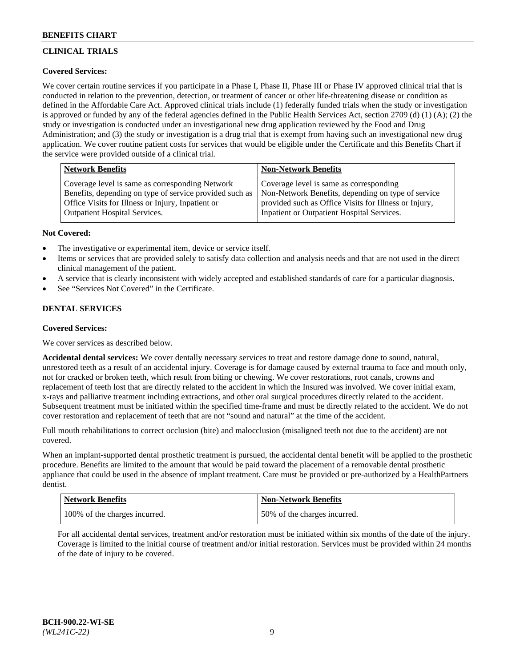# **CLINICAL TRIALS**

## **Covered Services:**

We cover certain routine services if you participate in a Phase I, Phase II, Phase III or Phase IV approved clinical trial that is conducted in relation to the prevention, detection, or treatment of cancer or other life-threatening disease or condition as defined in the Affordable Care Act. Approved clinical trials include (1) federally funded trials when the study or investigation is approved or funded by any of the federal agencies defined in the Public Health Services Act, section 2709 (d) (1) (A); (2) the study or investigation is conducted under an investigational new drug application reviewed by the Food and Drug Administration; and (3) the study or investigation is a drug trial that is exempt from having such an investigational new drug application. We cover routine patient costs for services that would be eligible under the Certificate and this Benefits Chart if the service were provided outside of a clinical trial.

| <b>Network Benefits</b>                                                                                                                                         | <b>Non-Network Benefits</b>                                                                                                                            |
|-----------------------------------------------------------------------------------------------------------------------------------------------------------------|--------------------------------------------------------------------------------------------------------------------------------------------------------|
| Coverage level is same as corresponding Network<br>Benefits, depending on type of service provided such as<br>Office Visits for Illness or Injury, Inpatient or | Coverage level is same as corresponding<br>Non-Network Benefits, depending on type of service<br>provided such as Office Visits for Illness or Injury, |
| <b>Outpatient Hospital Services.</b>                                                                                                                            | Inpatient or Outpatient Hospital Services.                                                                                                             |

### **Not Covered:**

- The investigative or experimental item, device or service itself.
- Items or services that are provided solely to satisfy data collection and analysis needs and that are not used in the direct clinical management of the patient.
- A service that is clearly inconsistent with widely accepted and established standards of care for a particular diagnosis.
- See "Services Not Covered" in the Certificate.

## **DENTAL SERVICES**

## **Covered Services:**

We cover services as described below.

**Accidental dental services:** We cover dentally necessary services to treat and restore damage done to sound, natural, unrestored teeth as a result of an accidental injury. Coverage is for damage caused by external trauma to face and mouth only, not for cracked or broken teeth, which result from biting or chewing. We cover restorations, root canals, crowns and replacement of teeth lost that are directly related to the accident in which the Insured was involved. We cover initial exam, x-rays and palliative treatment including extractions, and other oral surgical procedures directly related to the accident. Subsequent treatment must be initiated within the specified time-frame and must be directly related to the accident. We do not cover restoration and replacement of teeth that are not "sound and natural" at the time of the accident.

Full mouth rehabilitations to correct occlusion (bite) and malocclusion (misaligned teeth not due to the accident) are not covered.

When an implant-supported dental prosthetic treatment is pursued, the accidental dental benefit will be applied to the prosthetic procedure. Benefits are limited to the amount that would be paid toward the placement of a removable dental prosthetic appliance that could be used in the absence of implant treatment. Care must be provided or pre-authorized by a HealthPartners dentist.

| Network Benefits              | <b>Non-Network Benefits</b>  |
|-------------------------------|------------------------------|
| 100% of the charges incurred. | 50% of the charges incurred. |

For all accidental dental services, treatment and/or restoration must be initiated within six months of the date of the injury. Coverage is limited to the initial course of treatment and/or initial restoration. Services must be provided within 24 months of the date of injury to be covered.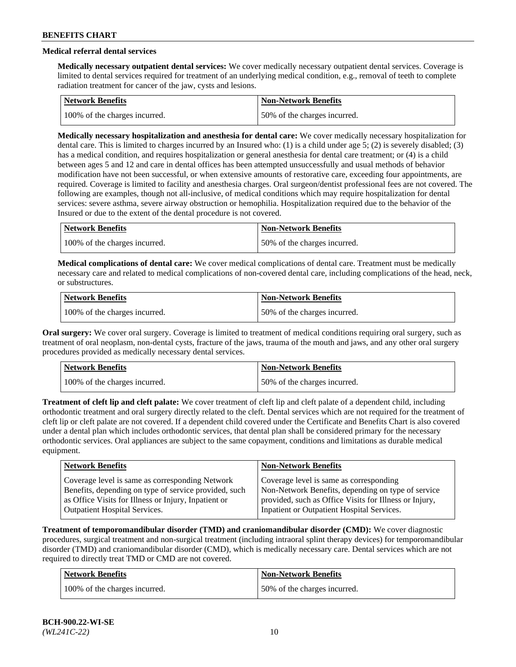# **Medical referral dental services**

**Medically necessary outpatient dental services:** We cover medically necessary outpatient dental services. Coverage is limited to dental services required for treatment of an underlying medical condition, e.g., removal of teeth to complete radiation treatment for cancer of the jaw, cysts and lesions.

| <b>Network Benefits</b>       | Non-Network Benefits         |
|-------------------------------|------------------------------|
| 100% of the charges incurred. | 50% of the charges incurred. |

**Medically necessary hospitalization and anesthesia for dental care:** We cover medically necessary hospitalization for dental care. This is limited to charges incurred by an Insured who: (1) is a child under age 5; (2) is severely disabled; (3) has a medical condition, and requires hospitalization or general anesthesia for dental care treatment; or (4) is a child between ages 5 and 12 and care in dental offices has been attempted unsuccessfully and usual methods of behavior modification have not been successful, or when extensive amounts of restorative care, exceeding four appointments, are required. Coverage is limited to facility and anesthesia charges. Oral surgeon/dentist professional fees are not covered. The following are examples, though not all-inclusive, of medical conditions which may require hospitalization for dental services: severe asthma, severe airway obstruction or hemophilia. Hospitalization required due to the behavior of the Insured or due to the extent of the dental procedure is not covered.

| Network Benefits              | <b>Non-Network Benefits</b>  |
|-------------------------------|------------------------------|
| 100% of the charges incurred. | 50% of the charges incurred. |

**Medical complications of dental care:** We cover medical complications of dental care. Treatment must be medically necessary care and related to medical complications of non-covered dental care, including complications of the head, neck, or substructures.

| Network Benefits              | <b>Non-Network Benefits</b>  |
|-------------------------------|------------------------------|
| 100% of the charges incurred. | 50% of the charges incurred. |

**Oral surgery:** We cover oral surgery. Coverage is limited to treatment of medical conditions requiring oral surgery, such as treatment of oral neoplasm, non-dental cysts, fracture of the jaws, trauma of the mouth and jaws, and any other oral surgery procedures provided as medically necessary dental services.

| Network Benefits              | <b>Non-Network Benefits</b>  |
|-------------------------------|------------------------------|
| 100% of the charges incurred. | 50% of the charges incurred. |

**Treatment of cleft lip and cleft palate:** We cover treatment of cleft lip and cleft palate of a dependent child, including orthodontic treatment and oral surgery directly related to the cleft. Dental services which are not required for the treatment of cleft lip or cleft palate are not covered. If a dependent child covered under the Certificate and Benefits Chart is also covered under a dental plan which includes orthodontic services, that dental plan shall be considered primary for the necessary orthodontic services. Oral appliances are subject to the same copayment, conditions and limitations as durable medical equipment.

| <b>Network Benefits</b>                               | <b>Non-Network Benefits</b>                            |
|-------------------------------------------------------|--------------------------------------------------------|
| Coverage level is same as corresponding Network       | Coverage level is same as corresponding                |
| Benefits, depending on type of service provided, such | Non-Network Benefits, depending on type of service     |
| as Office Visits for Illness or Injury, Inpatient or  | provided, such as Office Visits for Illness or Injury, |
| <b>Outpatient Hospital Services.</b>                  | Inpatient or Outpatient Hospital Services.             |

**Treatment of temporomandibular disorder (TMD) and craniomandibular disorder (CMD):** We cover diagnostic procedures, surgical treatment and non-surgical treatment (including intraoral splint therapy devices) for temporomandibular disorder (TMD) and craniomandibular disorder (CMD), which is medically necessary care. Dental services which are not required to directly treat TMD or CMD are not covered.

| <b>Network Benefits</b>       | <b>Non-Network Benefits</b>  |
|-------------------------------|------------------------------|
| 100% of the charges incurred. | 50% of the charges incurred. |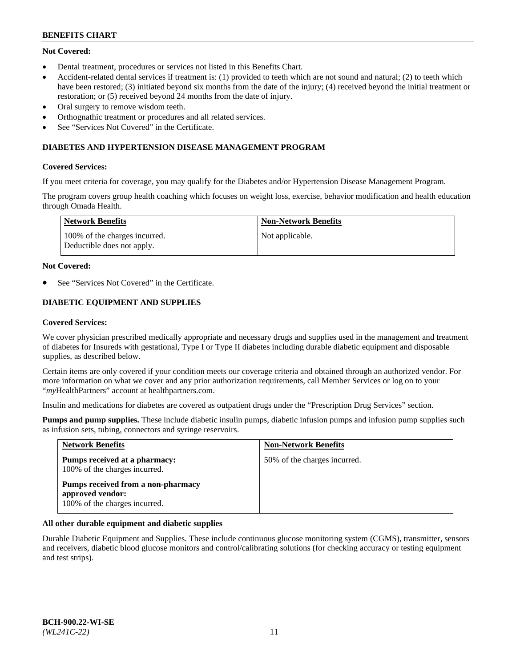## **Not Covered:**

- Dental treatment, procedures or services not listed in this Benefits Chart.
- Accident-related dental services if treatment is: (1) provided to teeth which are not sound and natural; (2) to teeth which have been restored; (3) initiated beyond six months from the date of the injury; (4) received beyond the initial treatment or restoration; or (5) received beyond 24 months from the date of injury.
- Oral surgery to remove wisdom teeth.
- Orthognathic treatment or procedures and all related services.
- See "Services Not Covered" in the Certificate.

## **DIABETES AND HYPERTENSION DISEASE MANAGEMENT PROGRAM**

### **Covered Services:**

If you meet criteria for coverage, you may qualify for the Diabetes and/or Hypertension Disease Management Program.

The program covers group health coaching which focuses on weight loss, exercise, behavior modification and health education through Omada Health.

| <b>Network Benefits</b>                                     | <b>Non-Network Benefits</b> |
|-------------------------------------------------------------|-----------------------------|
| 100% of the charges incurred.<br>Deductible does not apply. | Not applicable.             |

### **Not Covered:**

See "Services Not Covered" in the Certificate.

## **DIABETIC EQUIPMENT AND SUPPLIES**

### **Covered Services:**

We cover physician prescribed medically appropriate and necessary drugs and supplies used in the management and treatment of diabetes for Insureds with gestational, Type I or Type II diabetes including durable diabetic equipment and disposable supplies, as described below.

Certain items are only covered if your condition meets our coverage criteria and obtained through an authorized vendor. For more information on what we cover and any prior authorization requirements, call Member Services or log on to your "*my*HealthPartners" account at [healthpartners.com.](http://www.healthpartners.com/)

Insulin and medications for diabetes are covered as outpatient drugs under the "Prescription Drug Services" section.

**Pumps and pump supplies.** These include diabetic insulin pumps, diabetic infusion pumps and infusion pump supplies such as infusion sets, tubing, connectors and syringe reservoirs.

| <b>Network Benefits</b>                                                                 | <b>Non-Network Benefits</b>  |
|-----------------------------------------------------------------------------------------|------------------------------|
| Pumps received at a pharmacy:<br>100% of the charges incurred.                          | 50% of the charges incurred. |
| Pumps received from a non-pharmacy<br>approved vendor:<br>100% of the charges incurred. |                              |

## **All other durable equipment and diabetic supplies**

Durable Diabetic Equipment and Supplies. These include continuous glucose monitoring system (CGMS), transmitter, sensors and receivers, diabetic blood glucose monitors and control/calibrating solutions (for checking accuracy or testing equipment and test strips).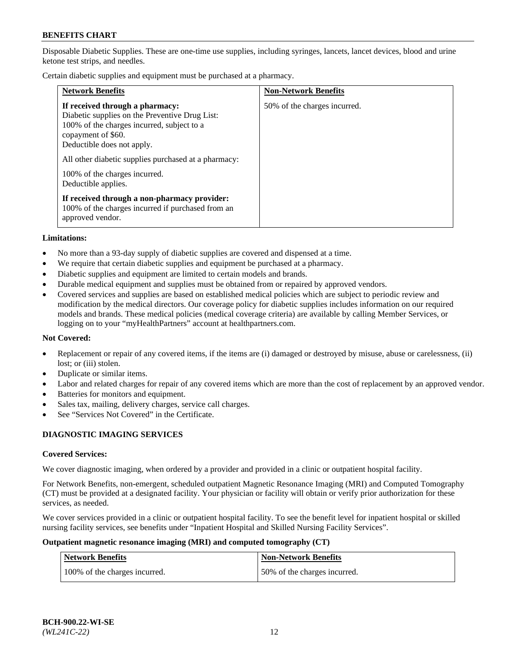Disposable Diabetic Supplies. These are one-time use supplies, including syringes, lancets, lancet devices, blood and urine ketone test strips, and needles.

Certain diabetic supplies and equipment must be purchased at a pharmacy.

| <b>Network Benefits</b>                                                                                                                                                                                                                                                                             | <b>Non-Network Benefits</b>  |
|-----------------------------------------------------------------------------------------------------------------------------------------------------------------------------------------------------------------------------------------------------------------------------------------------------|------------------------------|
| If received through a pharmacy:<br>Diabetic supplies on the Preventive Drug List:<br>100% of the charges incurred, subject to a<br>copayment of \$60.<br>Deductible does not apply.<br>All other diabetic supplies purchased at a pharmacy:<br>100% of the charges incurred.<br>Deductible applies. | 50% of the charges incurred. |
| If received through a non-pharmacy provider:<br>100% of the charges incurred if purchased from an<br>approved vendor.                                                                                                                                                                               |                              |

#### **Limitations:**

- No more than a 93-day supply of diabetic supplies are covered and dispensed at a time.
- We require that certain diabetic supplies and equipment be purchased at a pharmacy.
- Diabetic supplies and equipment are limited to certain models and brands.
- Durable medical equipment and supplies must be obtained from or repaired by approved vendors.
- Covered services and supplies are based on established medical policies which are subject to periodic review and modification by the medical directors. Our coverage policy for diabetic supplies includes information on our required models and brands. These medical policies (medical coverage criteria) are available by calling Member Services, or logging on to your "myHealthPartners" account at [healthpartners.com.](http://www.healthpartners.com/)

## **Not Covered:**

- Replacement or repair of any covered items, if the items are (i) damaged or destroyed by misuse, abuse or carelessness, (ii) lost; or (iii) stolen.
- Duplicate or similar items.
- Labor and related charges for repair of any covered items which are more than the cost of replacement by an approved vendor.
- Batteries for monitors and equipment.
- Sales tax, mailing, delivery charges, service call charges.
- See "Services Not Covered" in the Certificate.

## **DIAGNOSTIC IMAGING SERVICES**

#### **Covered Services:**

We cover diagnostic imaging, when ordered by a provider and provided in a clinic or outpatient hospital facility.

For Network Benefits, non-emergent, scheduled outpatient Magnetic Resonance Imaging (MRI) and Computed Tomography (CT) must be provided at a designated facility. Your physician or facility will obtain or verify prior authorization for these services, as needed.

We cover services provided in a clinic or outpatient hospital facility. To see the benefit level for inpatient hospital or skilled nursing facility services, see benefits under "Inpatient Hospital and Skilled Nursing Facility Services".

#### **Outpatient magnetic resonance imaging (MRI) and computed tomography (CT)**

| <b>Network Benefits</b>       | <b>Non-Network Benefits</b>  |
|-------------------------------|------------------------------|
| 100% of the charges incurred. | 50% of the charges incurred. |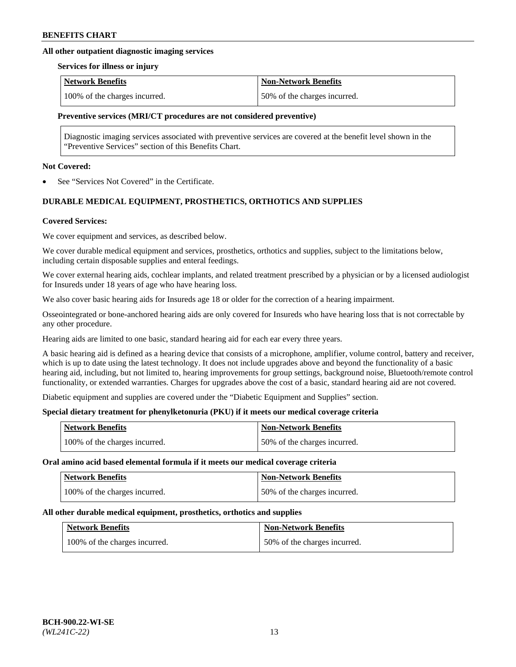## **All other outpatient diagnostic imaging services**

#### **Services for illness or injury**

| <b>Network Benefits</b>       | <b>Non-Network Benefits</b>  |
|-------------------------------|------------------------------|
| 100% of the charges incurred. | 50% of the charges incurred. |

## **Preventive services (MRI/CT procedures are not considered preventive)**

Diagnostic imaging services associated with preventive services are covered at the benefit level shown in the "Preventive Services" section of this Benefits Chart.

#### **Not Covered:**

See "Services Not Covered" in the Certificate.

## **DURABLE MEDICAL EQUIPMENT, PROSTHETICS, ORTHOTICS AND SUPPLIES**

### **Covered Services:**

We cover equipment and services, as described below.

We cover durable medical equipment and services, prosthetics, orthotics and supplies, subject to the limitations below, including certain disposable supplies and enteral feedings.

We cover external hearing aids, cochlear implants, and related treatment prescribed by a physician or by a licensed audiologist for Insureds under 18 years of age who have hearing loss.

We also cover basic hearing aids for Insureds age 18 or older for the correction of a hearing impairment.

Osseointegrated or bone-anchored hearing aids are only covered for Insureds who have hearing loss that is not correctable by any other procedure.

Hearing aids are limited to one basic, standard hearing aid for each ear every three years.

A basic hearing aid is defined as a hearing device that consists of a microphone, amplifier, volume control, battery and receiver, which is up to date using the latest technology. It does not include upgrades above and beyond the functionality of a basic hearing aid, including, but not limited to, hearing improvements for group settings, background noise, Bluetooth/remote control functionality, or extended warranties. Charges for upgrades above the cost of a basic, standard hearing aid are not covered.

Diabetic equipment and supplies are covered under the "Diabetic Equipment and Supplies" section.

## **Special dietary treatment for phenylketonuria (PKU) if it meets our medical coverage criteria**

| <b>Network Benefits</b>       | <b>Non-Network Benefits</b>  |
|-------------------------------|------------------------------|
| 100% of the charges incurred. | 50% of the charges incurred. |

#### **Oral amino acid based elemental formula if it meets our medical coverage criteria**

| <b>Network Benefits</b>       | <b>Non-Network Benefits</b>  |
|-------------------------------|------------------------------|
| 100% of the charges incurred. | 50% of the charges incurred. |

#### **All other durable medical equipment, prosthetics, orthotics and supplies**

| <b>Network Benefits</b>       | <b>Non-Network Benefits</b>  |
|-------------------------------|------------------------------|
| 100% of the charges incurred. | 50% of the charges incurred. |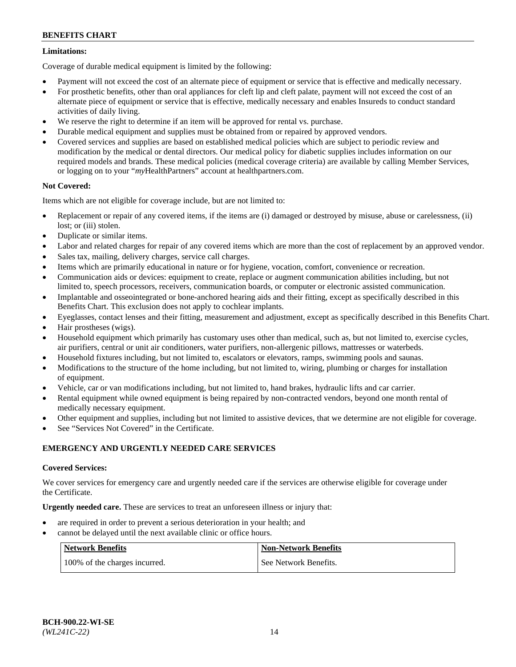## **Limitations:**

Coverage of durable medical equipment is limited by the following:

- Payment will not exceed the cost of an alternate piece of equipment or service that is effective and medically necessary.
- For prosthetic benefits, other than oral appliances for cleft lip and cleft palate, payment will not exceed the cost of an alternate piece of equipment or service that is effective, medically necessary and enables Insureds to conduct standard activities of daily living.
- We reserve the right to determine if an item will be approved for rental vs. purchase.
- Durable medical equipment and supplies must be obtained from or repaired by approved vendors.
- Covered services and supplies are based on established medical policies which are subject to periodic review and modification by the medical or dental directors. Our medical policy for diabetic supplies includes information on our required models and brands. These medical policies (medical coverage criteria) are available by calling Member Services, or logging on to your "*my*HealthPartners" account a[t healthpartners.com.](http://www.healthpartners.com/)

## **Not Covered:**

Items which are not eligible for coverage include, but are not limited to:

- Replacement or repair of any covered items, if the items are (i) damaged or destroyed by misuse, abuse or carelessness, (ii) lost; or (iii) stolen.
- Duplicate or similar items.
- Labor and related charges for repair of any covered items which are more than the cost of replacement by an approved vendor.
- Sales tax, mailing, delivery charges, service call charges.
- Items which are primarily educational in nature or for hygiene, vocation, comfort, convenience or recreation.
- Communication aids or devices: equipment to create, replace or augment communication abilities including, but not limited to, speech processors, receivers, communication boards, or computer or electronic assisted communication.
- Implantable and osseointegrated or bone-anchored hearing aids and their fitting, except as specifically described in this Benefits Chart. This exclusion does not apply to cochlear implants.
- Eyeglasses, contact lenses and their fitting, measurement and adjustment, except as specifically described in this Benefits Chart.
- Hair prostheses (wigs).
- Household equipment which primarily has customary uses other than medical, such as, but not limited to, exercise cycles, air purifiers, central or unit air conditioners, water purifiers, non-allergenic pillows, mattresses or waterbeds.
- Household fixtures including, but not limited to, escalators or elevators, ramps, swimming pools and saunas.
- Modifications to the structure of the home including, but not limited to, wiring, plumbing or charges for installation of equipment.
- Vehicle, car or van modifications including, but not limited to, hand brakes, hydraulic lifts and car carrier.
- Rental equipment while owned equipment is being repaired by non-contracted vendors, beyond one month rental of medically necessary equipment.
- Other equipment and supplies, including but not limited to assistive devices, that we determine are not eligible for coverage.
- See "Services Not Covered" in the Certificate.

## **EMERGENCY AND URGENTLY NEEDED CARE SERVICES**

## **Covered Services:**

We cover services for emergency care and urgently needed care if the services are otherwise eligible for coverage under the Certificate.

**Urgently needed care.** These are services to treat an unforeseen illness or injury that:

- are required in order to prevent a serious deterioration in your health; and
- cannot be delayed until the next available clinic or office hours.

| <b>Network Benefits</b>       | <b>Non-Network Benefits</b> |
|-------------------------------|-----------------------------|
| 100% of the charges incurred. | See Network Benefits.       |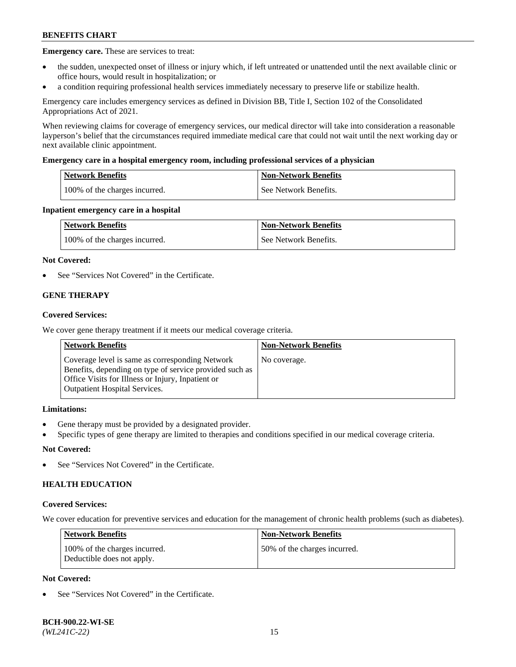**Emergency care.** These are services to treat:

- the sudden, unexpected onset of illness or injury which, if left untreated or unattended until the next available clinic or office hours, would result in hospitalization; or
- a condition requiring professional health services immediately necessary to preserve life or stabilize health.

Emergency care includes emergency services as defined in Division BB, Title I, Section 102 of the Consolidated Appropriations Act of 2021.

When reviewing claims for coverage of emergency services, our medical director will take into consideration a reasonable layperson's belief that the circumstances required immediate medical care that could not wait until the next working day or next available clinic appointment.

### **Emergency care in a hospital emergency room, including professional services of a physician**

| <b>Network Benefits</b>       | <b>Non-Network Benefits</b> |
|-------------------------------|-----------------------------|
| 100% of the charges incurred. | See Network Benefits.       |

### **Inpatient emergency care in a hospital**

| <b>Network Benefits</b>       | <b>Non-Network Benefits</b> |
|-------------------------------|-----------------------------|
| 100% of the charges incurred. | See Network Benefits.       |

### **Not Covered:**

See "Services Not Covered" in the Certificate.

## **GENE THERAPY**

### **Covered Services:**

We cover gene therapy treatment if it meets our medical coverage criteria.

| <b>Network Benefits</b>                                                                                                                                                                                 | <b>Non-Network Benefits</b> |
|---------------------------------------------------------------------------------------------------------------------------------------------------------------------------------------------------------|-----------------------------|
| Coverage level is same as corresponding Network<br>Benefits, depending on type of service provided such as<br>Office Visits for Illness or Injury, Inpatient or<br><b>Outpatient Hospital Services.</b> | No coverage.                |

## **Limitations:**

- Gene therapy must be provided by a designated provider.
- Specific types of gene therapy are limited to therapies and conditions specified in our medical coverage criteria.

## **Not Covered:**

See "Services Not Covered" in the Certificate.

## **HEALTH EDUCATION**

#### **Covered Services:**

We cover education for preventive services and education for the management of chronic health problems (such as diabetes).

| <b>Network Benefits</b>                                     | <b>Non-Network Benefits</b>  |
|-------------------------------------------------------------|------------------------------|
| 100% of the charges incurred.<br>Deductible does not apply. | 50% of the charges incurred. |

## **Not Covered:**

See "Services Not Covered" in the Certificate.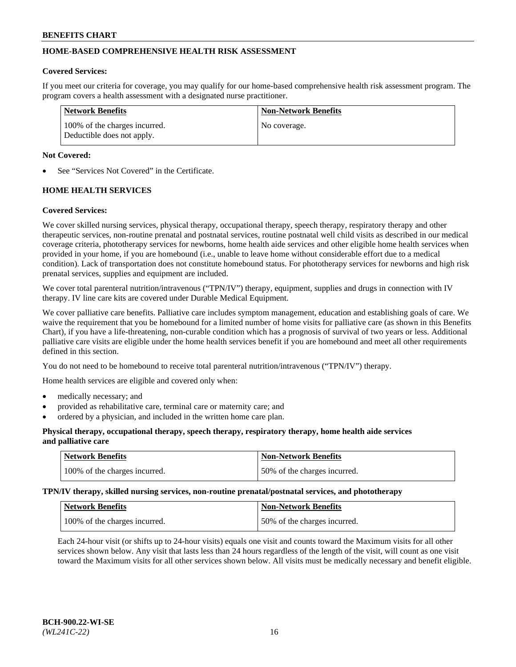## **HOME-BASED COMPREHENSIVE HEALTH RISK ASSESSMENT**

### **Covered Services:**

If you meet our criteria for coverage, you may qualify for our home-based comprehensive health risk assessment program. The program covers a health assessment with a designated nurse practitioner.

| Network Benefits                                            | <b>Non-Network Benefits</b> |
|-------------------------------------------------------------|-----------------------------|
| 100% of the charges incurred.<br>Deductible does not apply. | No coverage.                |

### **Not Covered:**

See "Services Not Covered" in the Certificate.

## **HOME HEALTH SERVICES**

### **Covered Services:**

We cover skilled nursing services, physical therapy, occupational therapy, speech therapy, respiratory therapy and other therapeutic services, non-routine prenatal and postnatal services, routine postnatal well child visits as described in our medical coverage criteria, phototherapy services for newborns, home health aide services and other eligible home health services when provided in your home, if you are homebound (i.e., unable to leave home without considerable effort due to a medical condition). Lack of transportation does not constitute homebound status. For phototherapy services for newborns and high risk prenatal services, supplies and equipment are included.

We cover total parenteral nutrition/intravenous ("TPN/IV") therapy, equipment, supplies and drugs in connection with IV therapy. IV line care kits are covered under Durable Medical Equipment.

We cover palliative care benefits. Palliative care includes symptom management, education and establishing goals of care. We waive the requirement that you be homebound for a limited number of home visits for palliative care (as shown in this Benefits Chart), if you have a life-threatening, non-curable condition which has a prognosis of survival of two years or less. Additional palliative care visits are eligible under the home health services benefit if you are homebound and meet all other requirements defined in this section.

You do not need to be homebound to receive total parenteral nutrition/intravenous ("TPN/IV") therapy.

Home health services are eligible and covered only when:

- medically necessary; and
- provided as rehabilitative care, terminal care or maternity care; and
- ordered by a physician, and included in the written home care plan.

## **Physical therapy, occupational therapy, speech therapy, respiratory therapy, home health aide services and palliative care**

| Network Benefits              | <b>Non-Network Benefits</b>  |
|-------------------------------|------------------------------|
| 100% of the charges incurred. | 50% of the charges incurred. |

**TPN/IV therapy, skilled nursing services, non-routine prenatal/postnatal services, and phototherapy**

| <b>Network Benefits</b>       | Non-Network Benefits         |
|-------------------------------|------------------------------|
| 100% of the charges incurred. | 50% of the charges incurred. |

Each 24-hour visit (or shifts up to 24-hour visits) equals one visit and counts toward the Maximum visits for all other services shown below. Any visit that lasts less than 24 hours regardless of the length of the visit, will count as one visit toward the Maximum visits for all other services shown below. All visits must be medically necessary and benefit eligible.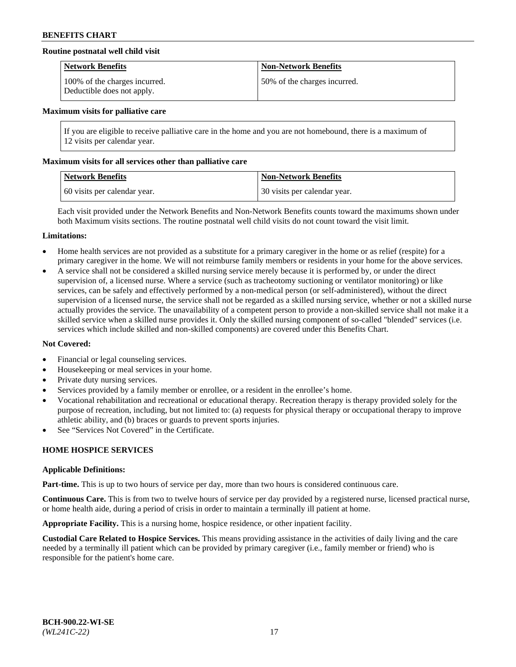## **Routine postnatal well child visit**

| <b>Network Benefits</b>                                     | <b>Non-Network Benefits</b>  |
|-------------------------------------------------------------|------------------------------|
| 100% of the charges incurred.<br>Deductible does not apply. | 50% of the charges incurred. |

#### **Maximum visits for palliative care**

If you are eligible to receive palliative care in the home and you are not homebound, there is a maximum of 12 visits per calendar year.

#### **Maximum visits for all services other than palliative care**

| Network Benefits             | <b>Non-Network Benefits</b>  |
|------------------------------|------------------------------|
| 60 visits per calendar year. | 30 visits per calendar year. |

Each visit provided under the Network Benefits and Non-Network Benefits counts toward the maximums shown under both Maximum visits sections. The routine postnatal well child visits do not count toward the visit limit.

#### **Limitations:**

- Home health services are not provided as a substitute for a primary caregiver in the home or as relief (respite) for a primary caregiver in the home. We will not reimburse family members or residents in your home for the above services.
- A service shall not be considered a skilled nursing service merely because it is performed by, or under the direct supervision of, a licensed nurse. Where a service (such as tracheotomy suctioning or ventilator monitoring) or like services, can be safely and effectively performed by a non-medical person (or self-administered), without the direct supervision of a licensed nurse, the service shall not be regarded as a skilled nursing service, whether or not a skilled nurse actually provides the service. The unavailability of a competent person to provide a non-skilled service shall not make it a skilled service when a skilled nurse provides it. Only the skilled nursing component of so-called "blended" services (i.e. services which include skilled and non-skilled components) are covered under this Benefits Chart.

## **Not Covered:**

- Financial or legal counseling services.
- Housekeeping or meal services in your home.
- Private duty nursing services.
- Services provided by a family member or enrollee, or a resident in the enrollee's home.
- Vocational rehabilitation and recreational or educational therapy. Recreation therapy is therapy provided solely for the purpose of recreation, including, but not limited to: (a) requests for physical therapy or occupational therapy to improve athletic ability, and (b) braces or guards to prevent sports injuries.
- See "Services Not Covered" in the Certificate.

## **HOME HOSPICE SERVICES**

#### **Applicable Definitions:**

**Part-time.** This is up to two hours of service per day, more than two hours is considered continuous care.

**Continuous Care.** This is from two to twelve hours of service per day provided by a registered nurse, licensed practical nurse, or home health aide, during a period of crisis in order to maintain a terminally ill patient at home.

**Appropriate Facility.** This is a nursing home, hospice residence, or other inpatient facility.

**Custodial Care Related to Hospice Services.** This means providing assistance in the activities of daily living and the care needed by a terminally ill patient which can be provided by primary caregiver (i.e., family member or friend) who is responsible for the patient's home care.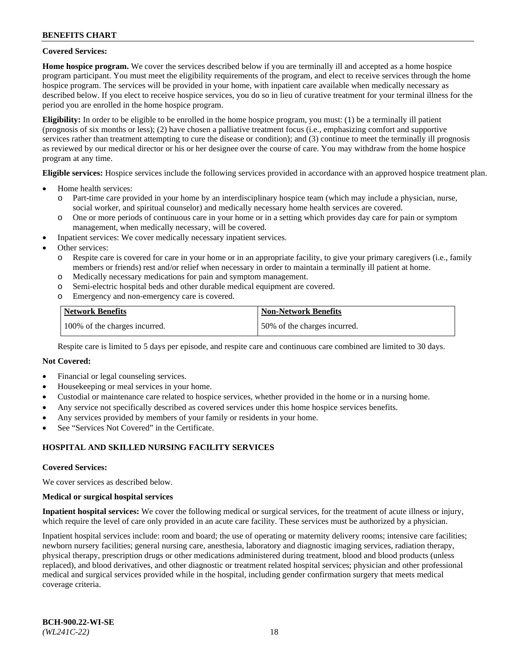## **Covered Services:**

**Home hospice program.** We cover the services described below if you are terminally ill and accepted as a home hospice program participant. You must meet the eligibility requirements of the program, and elect to receive services through the home hospice program. The services will be provided in your home, with inpatient care available when medically necessary as described below. If you elect to receive hospice services, you do so in lieu of curative treatment for your terminal illness for the period you are enrolled in the home hospice program.

**Eligibility:** In order to be eligible to be enrolled in the home hospice program, you must: (1) be a terminally ill patient (prognosis of six months or less); (2) have chosen a palliative treatment focus (i.e., emphasizing comfort and supportive services rather than treatment attempting to cure the disease or condition); and (3) continue to meet the terminally ill prognosis as reviewed by our medical director or his or her designee over the course of care. You may withdraw from the home hospice program at any time.

**Eligible services:** Hospice services include the following services provided in accordance with an approved hospice treatment plan.

- Home health services:
	- o Part-time care provided in your home by an interdisciplinary hospice team (which may include a physician, nurse, social worker, and spiritual counselor) and medically necessary home health services are covered.
	- o One or more periods of continuous care in your home or in a setting which provides day care for pain or symptom management, when medically necessary, will be covered.
- Inpatient services: We cover medically necessary inpatient services.
- Other services:
	- o Respite care is covered for care in your home or in an appropriate facility, to give your primary caregivers (i.e., family members or friends) rest and/or relief when necessary in order to maintain a terminally ill patient at home.
	- o Medically necessary medications for pain and symptom management.
	- o Semi-electric hospital beds and other durable medical equipment are covered.
	- Emergency and non-emergency care is covered.

| Network Benefits              | <b>Non-Network Benefits</b>  |
|-------------------------------|------------------------------|
| 100% of the charges incurred. | 50% of the charges incurred. |

Respite care is limited to 5 days per episode, and respite care and continuous care combined are limited to 30 days.

## **Not Covered:**

- Financial or legal counseling services.
- Housekeeping or meal services in your home.
- Custodial or maintenance care related to hospice services, whether provided in the home or in a nursing home.
- Any service not specifically described as covered services under this home hospice services benefits.
- Any services provided by members of your family or residents in your home.
- See "Services Not Covered" in the Certificate.

## **HOSPITAL AND SKILLED NURSING FACILITY SERVICES**

#### **Covered Services:**

We cover services as described below.

#### **Medical or surgical hospital services**

**Inpatient hospital services:** We cover the following medical or surgical services, for the treatment of acute illness or injury, which require the level of care only provided in an acute care facility. These services must be authorized by a physician.

Inpatient hospital services include: room and board; the use of operating or maternity delivery rooms; intensive care facilities; newborn nursery facilities; general nursing care, anesthesia, laboratory and diagnostic imaging services, radiation therapy, physical therapy, prescription drugs or other medications administered during treatment, blood and blood products (unless replaced), and blood derivatives, and other diagnostic or treatment related hospital services; physician and other professional medical and surgical services provided while in the hospital, including gender confirmation surgery that meets medical coverage criteria.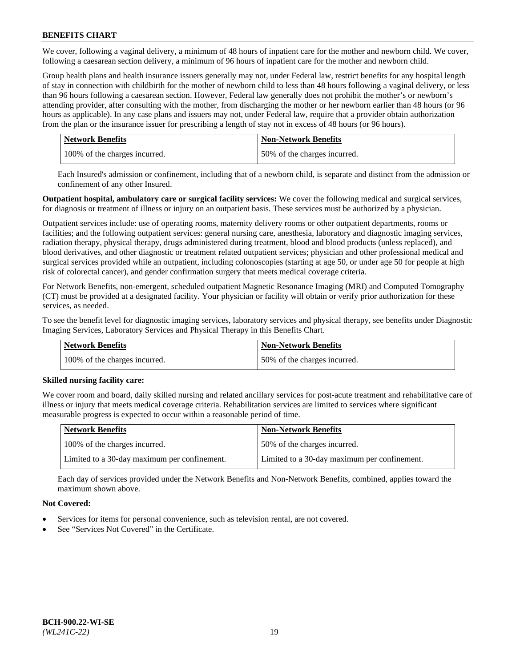We cover, following a vaginal delivery, a minimum of 48 hours of inpatient care for the mother and newborn child. We cover, following a caesarean section delivery, a minimum of 96 hours of inpatient care for the mother and newborn child.

Group health plans and health insurance issuers generally may not, under Federal law, restrict benefits for any hospital length of stay in connection with childbirth for the mother of newborn child to less than 48 hours following a vaginal delivery, or less than 96 hours following a caesarean section. However, Federal law generally does not prohibit the mother's or newborn's attending provider, after consulting with the mother, from discharging the mother or her newborn earlier than 48 hours (or 96 hours as applicable). In any case plans and issuers may not, under Federal law, require that a provider obtain authorization from the plan or the insurance issuer for prescribing a length of stay not in excess of 48 hours (or 96 hours).

| <b>Network Benefits</b>       | <b>Non-Network Benefits</b>  |
|-------------------------------|------------------------------|
| 100% of the charges incurred. | 50% of the charges incurred. |

Each Insured's admission or confinement, including that of a newborn child, is separate and distinct from the admission or confinement of any other Insured.

**Outpatient hospital, ambulatory care or surgical facility services:** We cover the following medical and surgical services, for diagnosis or treatment of illness or injury on an outpatient basis. These services must be authorized by a physician.

Outpatient services include: use of operating rooms, maternity delivery rooms or other outpatient departments, rooms or facilities; and the following outpatient services: general nursing care, anesthesia, laboratory and diagnostic imaging services, radiation therapy, physical therapy, drugs administered during treatment, blood and blood products (unless replaced), and blood derivatives, and other diagnostic or treatment related outpatient services; physician and other professional medical and surgical services provided while an outpatient, including colonoscopies (starting at age 50, or under age 50 for people at high risk of colorectal cancer), and gender confirmation surgery that meets medical coverage criteria.

For Network Benefits, non-emergent, scheduled outpatient Magnetic Resonance Imaging (MRI) and Computed Tomography (CT) must be provided at a designated facility. Your physician or facility will obtain or verify prior authorization for these services, as needed.

To see the benefit level for diagnostic imaging services, laboratory services and physical therapy, see benefits under Diagnostic Imaging Services, Laboratory Services and Physical Therapy in this Benefits Chart.

| <b>Network Benefits</b>       | <b>Non-Network Benefits</b>  |
|-------------------------------|------------------------------|
| 100% of the charges incurred. | 50% of the charges incurred. |

## **Skilled nursing facility care:**

We cover room and board, daily skilled nursing and related ancillary services for post-acute treatment and rehabilitative care of illness or injury that meets medical coverage criteria. Rehabilitation services are limited to services where significant measurable progress is expected to occur within a reasonable period of time.

| Network Benefits                             | <b>Non-Network Benefits</b>                  |
|----------------------------------------------|----------------------------------------------|
| 100% of the charges incurred.                | 50% of the charges incurred.                 |
| Limited to a 30-day maximum per confinement. | Limited to a 30-day maximum per confinement. |

Each day of services provided under the Network Benefits and Non-Network Benefits, combined, applies toward the maximum shown above.

## **Not Covered:**

- Services for items for personal convenience, such as television rental, are not covered.
- See "Services Not Covered" in the Certificate.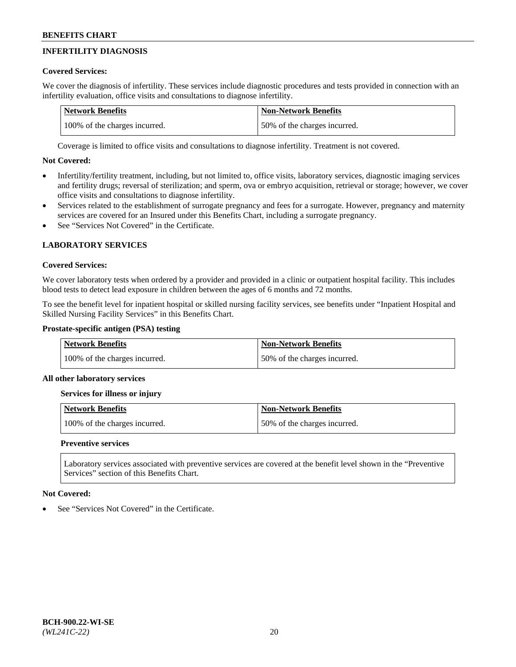# **INFERTILITY DIAGNOSIS**

## **Covered Services:**

We cover the diagnosis of infertility. These services include diagnostic procedures and tests provided in connection with an infertility evaluation, office visits and consultations to diagnose infertility.

| <b>Network Benefits</b>       | <b>Non-Network Benefits</b>  |
|-------------------------------|------------------------------|
| 100% of the charges incurred. | 50% of the charges incurred. |

Coverage is limited to office visits and consultations to diagnose infertility. Treatment is not covered.

## **Not Covered:**

- Infertility/fertility treatment, including, but not limited to, office visits, laboratory services, diagnostic imaging services and fertility drugs; reversal of sterilization; and sperm, ova or embryo acquisition, retrieval or storage; however, we cover office visits and consultations to diagnose infertility.
- Services related to the establishment of surrogate pregnancy and fees for a surrogate. However, pregnancy and maternity services are covered for an Insured under this Benefits Chart, including a surrogate pregnancy.
- See "Services Not Covered" in the Certificate.

# **LABORATORY SERVICES**

## **Covered Services:**

We cover laboratory tests when ordered by a provider and provided in a clinic or outpatient hospital facility. This includes blood tests to detect lead exposure in children between the ages of 6 months and 72 months.

To see the benefit level for inpatient hospital or skilled nursing facility services, see benefits under "Inpatient Hospital and Skilled Nursing Facility Services" in this Benefits Chart.

## **Prostate-specific antigen (PSA) testing**

| <b>Network Benefits</b>       | <b>Non-Network Benefits</b>  |
|-------------------------------|------------------------------|
| 100% of the charges incurred. | 50% of the charges incurred. |

## **All other laboratory services**

**Services for illness or injury**

| <b>Network Benefits</b>       | <b>Non-Network Benefits</b>  |
|-------------------------------|------------------------------|
| 100% of the charges incurred. | 50% of the charges incurred. |

## **Preventive services**

Laboratory services associated with preventive services are covered at the benefit level shown in the "Preventive Services" section of this Benefits Chart.

## **Not Covered:**

See "Services Not Covered" in the Certificate.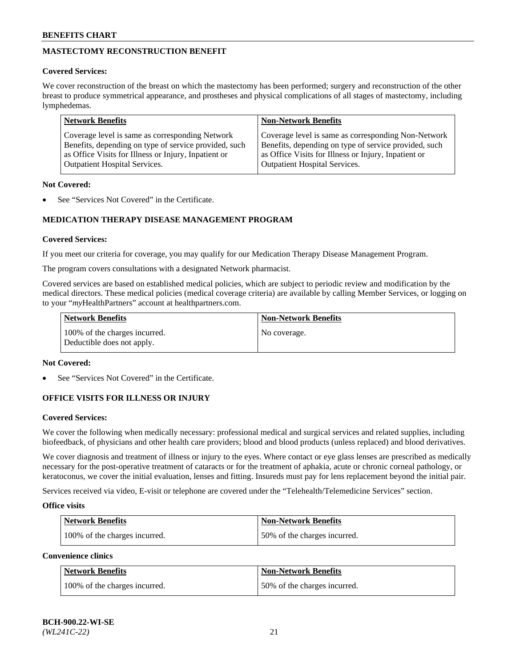# **MASTECTOMY RECONSTRUCTION BENEFIT**

## **Covered Services:**

We cover reconstruction of the breast on which the mastectomy has been performed; surgery and reconstruction of the other breast to produce symmetrical appearance, and prostheses and physical complications of all stages of mastectomy, including lymphedemas.

| <b>Network Benefits</b>                               | <b>Non-Network Benefits</b>                           |
|-------------------------------------------------------|-------------------------------------------------------|
| Coverage level is same as corresponding Network       | Coverage level is same as corresponding Non-Network   |
| Benefits, depending on type of service provided, such | Benefits, depending on type of service provided, such |
| as Office Visits for Illness or Injury, Inpatient or  | as Office Visits for Illness or Injury, Inpatient or  |
| <b>Outpatient Hospital Services.</b>                  | <b>Outpatient Hospital Services.</b>                  |

### **Not Covered:**

See "Services Not Covered" in the Certificate.

## **MEDICATION THERAPY DISEASE MANAGEMENT PROGRAM**

### **Covered Services:**

If you meet our criteria for coverage, you may qualify for our Medication Therapy Disease Management Program.

The program covers consultations with a designated Network pharmacist.

Covered services are based on established medical policies, which are subject to periodic review and modification by the medical directors. These medical policies (medical coverage criteria) are available by calling Member Services, or logging on to your "*my*HealthPartners" account at [healthpartners.com.](http://www.healthpartners.com/)

| Network Benefits                                            | <b>Non-Network Benefits</b> |
|-------------------------------------------------------------|-----------------------------|
| 100% of the charges incurred.<br>Deductible does not apply. | No coverage.                |

## **Not Covered:**

See "Services Not Covered" in the Certificate.

## **OFFICE VISITS FOR ILLNESS OR INJURY**

#### **Covered Services:**

We cover the following when medically necessary: professional medical and surgical services and related supplies, including biofeedback, of physicians and other health care providers; blood and blood products (unless replaced) and blood derivatives.

We cover diagnosis and treatment of illness or injury to the eyes. Where contact or eye glass lenses are prescribed as medically necessary for the post-operative treatment of cataracts or for the treatment of aphakia, acute or chronic corneal pathology, or keratoconus, we cover the initial evaluation, lenses and fitting. Insureds must pay for lens replacement beyond the initial pair.

Services received via video, E-visit or telephone are covered under the "Telehealth/Telemedicine Services" section.

#### **Office visits**

| <b>Network Benefits</b>       | <b>Non-Network Benefits</b>  |
|-------------------------------|------------------------------|
| 100% of the charges incurred. | 50% of the charges incurred. |

**Convenience clinics**

| <b>Network Benefits</b>       | <b>Non-Network Benefits</b>   |
|-------------------------------|-------------------------------|
| 100% of the charges incurred. | 150% of the charges incurred. |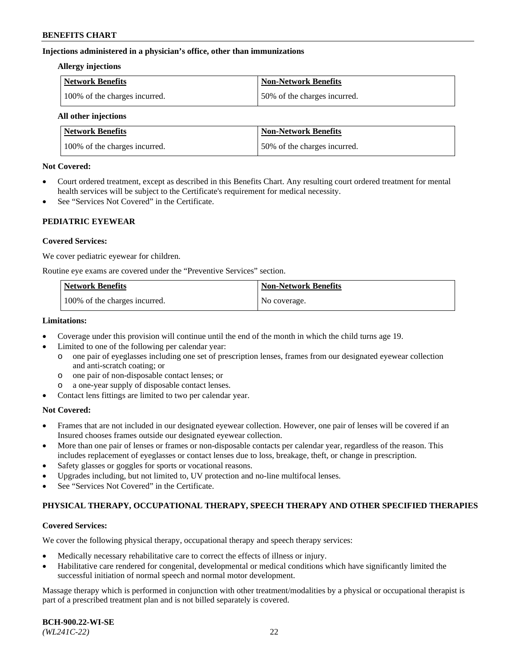## **Injections administered in a physician's office, other than immunizations**

#### **Allergy injections**

| Network Benefits              | Non-Network Benefits         |
|-------------------------------|------------------------------|
| 100% of the charges incurred. | 50% of the charges incurred. |

#### **All other injections**

| <b>Network Benefits</b>       | <b>Non-Network Benefits</b>  |
|-------------------------------|------------------------------|
| 100% of the charges incurred. | 50% of the charges incurred. |

### **Not Covered:**

- Court ordered treatment, except as described in this Benefits Chart. Any resulting court ordered treatment for mental health services will be subject to the Certificate's requirement for medical necessity.
- See "Services Not Covered" in the Certificate.

## **PEDIATRIC EYEWEAR**

## **Covered Services:**

We cover pediatric eyewear for children.

Routine eye exams are covered under the "Preventive Services" section.

| Network Benefits              | <b>Non-Network Benefits</b> |
|-------------------------------|-----------------------------|
| 100% of the charges incurred. | No coverage.                |

## **Limitations:**

- Coverage under this provision will continue until the end of the month in which the child turns age 19.
- Limited to one of the following per calendar year:
	- o one pair of eyeglasses including one set of prescription lenses, frames from our designated eyewear collection and anti-scratch coating; or
	- o one pair of non-disposable contact lenses; or
	- o a one-year supply of disposable contact lenses.
- Contact lens fittings are limited to two per calendar year.

## **Not Covered:**

- Frames that are not included in our designated eyewear collection. However, one pair of lenses will be covered if an Insured chooses frames outside our designated eyewear collection.
- More than one pair of lenses or frames or non-disposable contacts per calendar year, regardless of the reason. This includes replacement of eyeglasses or contact lenses due to loss, breakage, theft, or change in prescription.
- Safety glasses or goggles for sports or vocational reasons.
- Upgrades including, but not limited to, UV protection and no-line multifocal lenses.
- See "Services Not Covered" in the Certificate.

## **PHYSICAL THERAPY, OCCUPATIONAL THERAPY, SPEECH THERAPY AND OTHER SPECIFIED THERAPIES**

## **Covered Services:**

We cover the following physical therapy, occupational therapy and speech therapy services:

- Medically necessary rehabilitative care to correct the effects of illness or injury.
- Habilitative care rendered for congenital, developmental or medical conditions which have significantly limited the successful initiation of normal speech and normal motor development.

Massage therapy which is performed in conjunction with other treatment/modalities by a physical or occupational therapist is part of a prescribed treatment plan and is not billed separately is covered.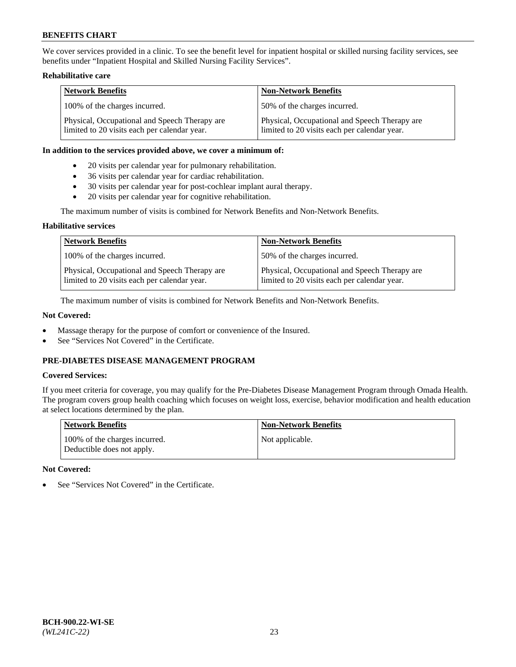We cover services provided in a clinic. To see the benefit level for inpatient hospital or skilled nursing facility services, see benefits under "Inpatient Hospital and Skilled Nursing Facility Services".

## **Rehabilitative care**

| <b>Network Benefits</b>                                                                       | <b>Non-Network Benefits</b>                                                                   |
|-----------------------------------------------------------------------------------------------|-----------------------------------------------------------------------------------------------|
| 100% of the charges incurred.                                                                 | 50% of the charges incurred.                                                                  |
| Physical, Occupational and Speech Therapy are<br>limited to 20 visits each per calendar year. | Physical, Occupational and Speech Therapy are<br>limited to 20 visits each per calendar year. |

### **In addition to the services provided above, we cover a minimum of:**

- 20 visits per calendar year for pulmonary rehabilitation.
- 36 visits per calendar year for cardiac rehabilitation.
- 30 visits per calendar year for post-cochlear implant aural therapy.
- 20 visits per calendar year for cognitive rehabilitation.

The maximum number of visits is combined for Network Benefits and Non-Network Benefits.

## **Habilitative services**

| <b>Network Benefits</b>                                                                       | <b>Non-Network Benefits</b>                                                                   |
|-----------------------------------------------------------------------------------------------|-----------------------------------------------------------------------------------------------|
| 100% of the charges incurred.                                                                 | 50% of the charges incurred.                                                                  |
| Physical, Occupational and Speech Therapy are<br>limited to 20 visits each per calendar year. | Physical, Occupational and Speech Therapy are<br>limited to 20 visits each per calendar year. |

The maximum number of visits is combined for Network Benefits and Non-Network Benefits.

## **Not Covered:**

- Massage therapy for the purpose of comfort or convenience of the Insured.
- See "Services Not Covered" in the Certificate.

## **PRE-DIABETES DISEASE MANAGEMENT PROGRAM**

## **Covered Services:**

If you meet criteria for coverage, you may qualify for the Pre-Diabetes Disease Management Program through Omada Health. The program covers group health coaching which focuses on weight loss, exercise, behavior modification and health education at select locations determined by the plan.

| <b>Network Benefits</b>                                     | <b>Non-Network Benefits</b> |
|-------------------------------------------------------------|-----------------------------|
| 100% of the charges incurred.<br>Deductible does not apply. | Not applicable.             |

## **Not Covered:**

See "Services Not Covered" in the Certificate.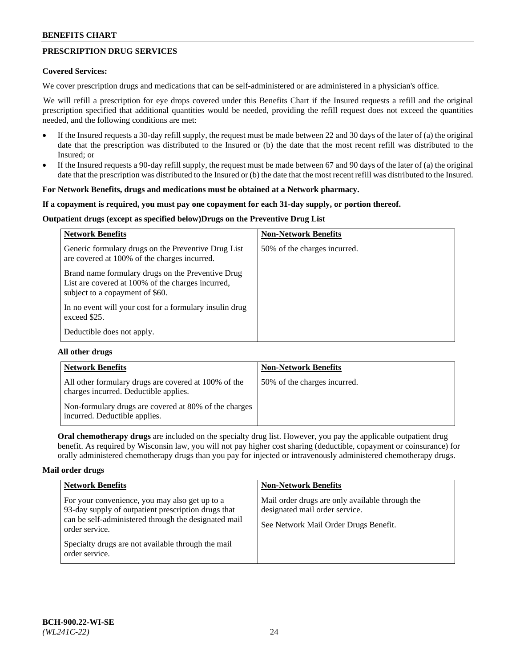## **PRESCRIPTION DRUG SERVICES**

## **Covered Services:**

We cover prescription drugs and medications that can be self-administered or are administered in a physician's office.

We will refill a prescription for eye drops covered under this Benefits Chart if the Insured requests a refill and the original prescription specified that additional quantities would be needed, providing the refill request does not exceed the quantities needed, and the following conditions are met:

- If the Insured requests a 30-day refill supply, the request must be made between 22 and 30 days of the later of (a) the original date that the prescription was distributed to the Insured or (b) the date that the most recent refill was distributed to the Insured; or
- If the Insured requests a 90-day refill supply, the request must be made between 67 and 90 days of the later of (a) the original date that the prescription was distributed to the Insured or (b) the date that the most recent refill was distributed to the Insured.

### **For Network Benefits, drugs and medications must be obtained at a Network pharmacy.**

### **If a copayment is required, you must pay one copayment for each 31-day supply, or portion thereof.**

## **Outpatient drugs (except as specified below)Drugs on the Preventive Drug List**

| <b>Network Benefits</b>                                                                                                                   | <b>Non-Network Benefits</b>  |
|-------------------------------------------------------------------------------------------------------------------------------------------|------------------------------|
| Generic formulary drugs on the Preventive Drug List<br>are covered at 100% of the charges incurred.                                       | 50% of the charges incurred. |
| Brand name formulary drugs on the Preventive Drug<br>List are covered at 100% of the charges incurred,<br>subject to a copayment of \$60. |                              |
| In no event will your cost for a formulary insulin drug<br>exceed \$25.                                                                   |                              |
| Deductible does not apply.                                                                                                                |                              |

## **All other drugs**

| <b>Network Benefits</b>                                                                       | <b>Non-Network Benefits</b>  |
|-----------------------------------------------------------------------------------------------|------------------------------|
| All other formulary drugs are covered at 100% of the<br>charges incurred. Deductible applies. | 50% of the charges incurred. |
| Non-formulary drugs are covered at 80% of the charges<br>incurred. Deductible applies.        |                              |

**Oral chemotherapy drugs** are included on the specialty drug list. However, you pay the applicable outpatient drug benefit. As required by Wisconsin law, you will not pay higher cost sharing (deductible, copayment or coinsurance) for orally administered chemotherapy drugs than you pay for injected or intravenously administered chemotherapy drugs.

#### **Mail order drugs**

| <b>Network Benefits</b>                                                                                                                                                                                                                                 | <b>Non-Network Benefits</b>                                                                                                |
|---------------------------------------------------------------------------------------------------------------------------------------------------------------------------------------------------------------------------------------------------------|----------------------------------------------------------------------------------------------------------------------------|
| For your convenience, you may also get up to a<br>93-day supply of outpatient prescription drugs that<br>can be self-administered through the designated mail<br>order service.<br>Specialty drugs are not available through the mail<br>order service. | Mail order drugs are only available through the<br>designated mail order service.<br>See Network Mail Order Drugs Benefit. |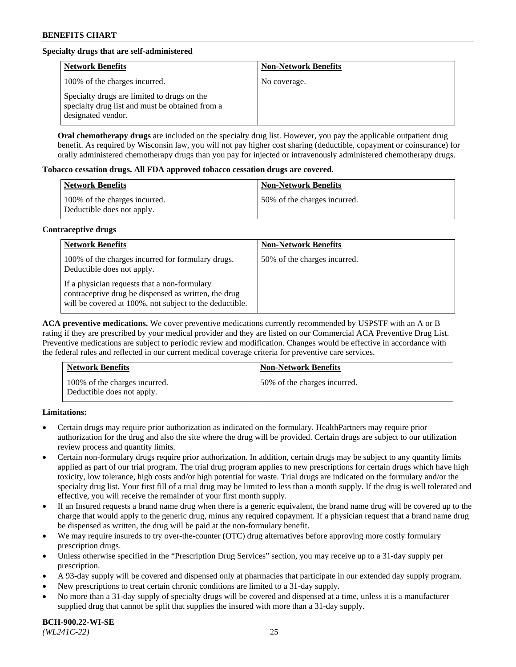## **Specialty drugs that are self-administered**

| <b>Network Benefits</b>                                                                                              | <b>Non-Network Benefits</b> |
|----------------------------------------------------------------------------------------------------------------------|-----------------------------|
| 100% of the charges incurred.                                                                                        | No coverage.                |
| Specialty drugs are limited to drugs on the<br>specialty drug list and must be obtained from a<br>designated vendor. |                             |

**Oral chemotherapy drugs** are included on the specialty drug list. However, you pay the applicable outpatient drug benefit. As required by Wisconsin law, you will not pay higher cost sharing (deductible, copayment or coinsurance) for orally administered chemotherapy drugs than you pay for injected or intravenously administered chemotherapy drugs.

### **Tobacco cessation drugs. All FDA approved tobacco cessation drugs are covered.**

| Network Benefits                                            | <b>Non-Network Benefits</b>   |
|-------------------------------------------------------------|-------------------------------|
| 100% of the charges incurred.<br>Deductible does not apply. | 150% of the charges incurred. |

## **Contraceptive drugs**

| <b>Network Benefits</b>                                                                                                                                         | <b>Non-Network Benefits</b>  |
|-----------------------------------------------------------------------------------------------------------------------------------------------------------------|------------------------------|
| 100% of the charges incurred for formulary drugs.<br>Deductible does not apply.                                                                                 | 50% of the charges incurred. |
| If a physician requests that a non-formulary<br>contraceptive drug be dispensed as written, the drug<br>will be covered at 100%, not subject to the deductible. |                              |

**ACA preventive medications.** We cover preventive medications currently recommended by USPSTF with an A or B rating if they are prescribed by your medical provider and they are listed on our Commercial ACA Preventive Drug List. Preventive medications are subject to periodic review and modification. Changes would be effective in accordance with the federal rules and reflected in our current medical coverage criteria for preventive care services.

| <b>Network Benefits</b>                                     | <b>Non-Network Benefits</b>  |
|-------------------------------------------------------------|------------------------------|
| 100% of the charges incurred.<br>Deductible does not apply. | 50% of the charges incurred. |

## **Limitations:**

- Certain drugs may require prior authorization as indicated on the formulary. HealthPartners may require prior authorization for the drug and also the site where the drug will be provided. Certain drugs are subject to our utilization review process and quantity limits.
- Certain non-formulary drugs require prior authorization. In addition, certain drugs may be subject to any quantity limits applied as part of our trial program. The trial drug program applies to new prescriptions for certain drugs which have high toxicity, low tolerance, high costs and/or high potential for waste. Trial drugs are indicated on the formulary and/or the specialty drug list. Your first fill of a trial drug may be limited to less than a month supply. If the drug is well tolerated and effective, you will receive the remainder of your first month supply.
- If an Insured requests a brand name drug when there is a generic equivalent, the brand name drug will be covered up to the charge that would apply to the generic drug, minus any required copayment. If a physician request that a brand name drug be dispensed as written, the drug will be paid at the non-formulary benefit.
- We may require insureds to try over-the-counter (OTC) drug alternatives before approving more costly formulary prescription drugs.
- Unless otherwise specified in the "Prescription Drug Services" section, you may receive up to a 31-day supply per prescription.
- A 93-day supply will be covered and dispensed only at pharmacies that participate in our extended day supply program.
- New prescriptions to treat certain chronic conditions are limited to a 31-day supply.
- No more than a 31-day supply of specialty drugs will be covered and dispensed at a time, unless it is a manufacturer supplied drug that cannot be split that supplies the insured with more than a 31-day supply.

**BCH-900.22-WI-SE**  *(WL241C-22)* 25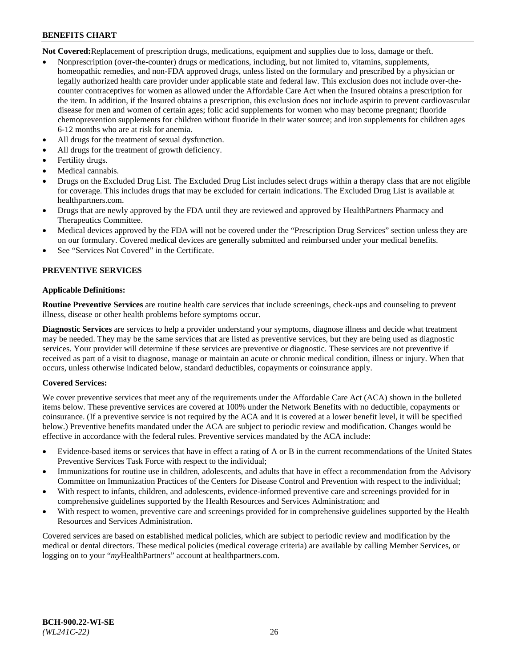**Not Covered:**Replacement of prescription drugs, medications, equipment and supplies due to loss, damage or theft.

- Nonprescription (over-the-counter) drugs or medications, including, but not limited to, vitamins, supplements, homeopathic remedies, and non-FDA approved drugs, unless listed on the formulary and prescribed by a physician or legally authorized health care provider under applicable state and federal law. This exclusion does not include over-thecounter contraceptives for women as allowed under the Affordable Care Act when the Insured obtains a prescription for the item. In addition, if the Insured obtains a prescription, this exclusion does not include aspirin to prevent cardiovascular disease for men and women of certain ages; folic acid supplements for women who may become pregnant; fluoride chemoprevention supplements for children without fluoride in their water source; and iron supplements for children ages 6-12 months who are at risk for anemia.
- All drugs for the treatment of sexual dysfunction.
- All drugs for the treatment of growth deficiency.
- Fertility drugs.
- Medical cannabis.
- Drugs on the Excluded Drug List. The Excluded Drug List includes select drugs within a therapy class that are not eligible for coverage. This includes drugs that may be excluded for certain indications. The Excluded Drug List is available at [healthpartners.com.](http://www.healthpartners.com/)
- Drugs that are newly approved by the FDA until they are reviewed and approved by HealthPartners Pharmacy and Therapeutics Committee.
- Medical devices approved by the FDA will not be covered under the "Prescription Drug Services" section unless they are on our formulary. Covered medical devices are generally submitted and reimbursed under your medical benefits.
- See "Services Not Covered" in the Certificate.

## **PREVENTIVE SERVICES**

### **Applicable Definitions:**

**Routine Preventive Services** are routine health care services that include screenings, check-ups and counseling to prevent illness, disease or other health problems before symptoms occur.

**Diagnostic Services** are services to help a provider understand your symptoms, diagnose illness and decide what treatment may be needed. They may be the same services that are listed as preventive services, but they are being used as diagnostic services. Your provider will determine if these services are preventive or diagnostic. These services are not preventive if received as part of a visit to diagnose, manage or maintain an acute or chronic medical condition, illness or injury. When that occurs, unless otherwise indicated below, standard deductibles, copayments or coinsurance apply.

## **Covered Services:**

We cover preventive services that meet any of the requirements under the Affordable Care Act (ACA) shown in the bulleted items below. These preventive services are covered at 100% under the Network Benefits with no deductible, copayments or coinsurance. (If a preventive service is not required by the ACA and it is covered at a lower benefit level, it will be specified below.) Preventive benefits mandated under the ACA are subject to periodic review and modification. Changes would be effective in accordance with the federal rules. Preventive services mandated by the ACA include:

- Evidence-based items or services that have in effect a rating of A or B in the current recommendations of the United States Preventive Services Task Force with respect to the individual;
- Immunizations for routine use in children, adolescents, and adults that have in effect a recommendation from the Advisory Committee on Immunization Practices of the Centers for Disease Control and Prevention with respect to the individual;
- With respect to infants, children, and adolescents, evidence-informed preventive care and screenings provided for in comprehensive guidelines supported by the Health Resources and Services Administration; and
- With respect to women, preventive care and screenings provided for in comprehensive guidelines supported by the Health Resources and Services Administration.

Covered services are based on established medical policies, which are subject to periodic review and modification by the medical or dental directors. These medical policies (medical coverage criteria) are available by calling Member Services, or logging on to your "*my*HealthPartners" account at [healthpartners.com.](https://www.healthpartners.com/hp/index.html)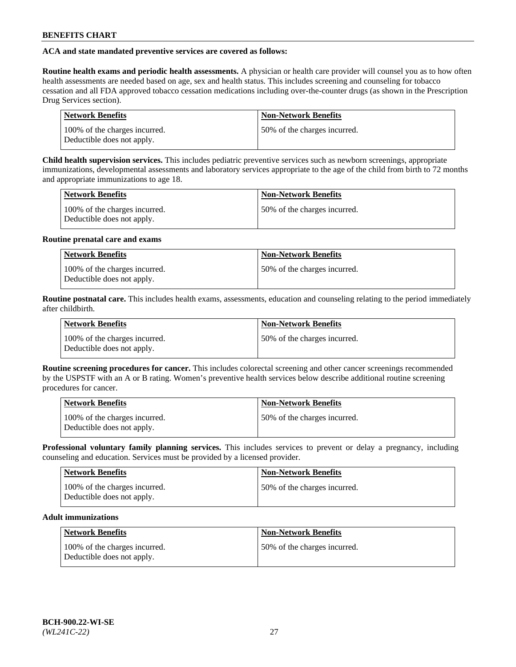## **ACA and state mandated preventive services are covered as follows:**

**Routine health exams and periodic health assessments.** A physician or health care provider will counsel you as to how often health assessments are needed based on age, sex and health status. This includes screening and counseling for tobacco cessation and all FDA approved tobacco cessation medications including over-the-counter drugs (as shown in the Prescription Drug Services section).

| <b>Network Benefits</b>                                     | <b>Non-Network Benefits</b>   |
|-------------------------------------------------------------|-------------------------------|
| 100% of the charges incurred.<br>Deductible does not apply. | 150% of the charges incurred. |

**Child health supervision services.** This includes pediatric preventive services such as newborn screenings, appropriate immunizations, developmental assessments and laboratory services appropriate to the age of the child from birth to 72 months and appropriate immunizations to age 18.

| <b>Network Benefits</b>                                     | <b>Non-Network Benefits</b>  |
|-------------------------------------------------------------|------------------------------|
| 100% of the charges incurred.<br>Deductible does not apply. | 50% of the charges incurred. |

## **Routine prenatal care and exams**

| Network Benefits                                            | <b>Non-Network Benefits</b>   |
|-------------------------------------------------------------|-------------------------------|
| 100% of the charges incurred.<br>Deductible does not apply. | 150% of the charges incurred. |

**Routine postnatal care.** This includes health exams, assessments, education and counseling relating to the period immediately after childbirth.

| <b>Network Benefits</b>                                     | <b>Non-Network Benefits</b>  |
|-------------------------------------------------------------|------------------------------|
| 100% of the charges incurred.<br>Deductible does not apply. | 50% of the charges incurred. |

**Routine screening procedures for cancer.** This includes colorectal screening and other cancer screenings recommended by the USPSTF with an A or B rating. Women's preventive health services below describe additional routine screening procedures for cancer.

| <b>Network Benefits</b>                                     | <b>Non-Network Benefits</b>   |
|-------------------------------------------------------------|-------------------------------|
| 100% of the charges incurred.<br>Deductible does not apply. | 150% of the charges incurred. |

**Professional voluntary family planning services.** This includes services to prevent or delay a pregnancy, including counseling and education. Services must be provided by a licensed provider.

| <b>Network Benefits</b>                                     | <b>Non-Network Benefits</b>  |
|-------------------------------------------------------------|------------------------------|
| 100% of the charges incurred.<br>Deductible does not apply. | 50% of the charges incurred. |

## **Adult immunizations**

| Network Benefits                                            | <b>Non-Network Benefits</b>  |
|-------------------------------------------------------------|------------------------------|
| 100% of the charges incurred.<br>Deductible does not apply. | 50% of the charges incurred. |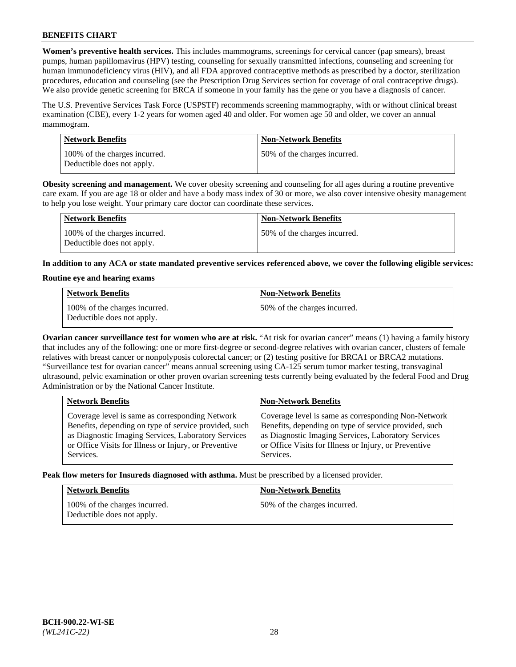**Women's preventive health services.** This includes mammograms, screenings for cervical cancer (pap smears), breast pumps, human papillomavirus (HPV) testing, counseling for sexually transmitted infections, counseling and screening for human immunodeficiency virus (HIV), and all FDA approved contraceptive methods as prescribed by a doctor, sterilization procedures, education and counseling (see the Prescription Drug Services section for coverage of oral contraceptive drugs). We also provide genetic screening for BRCA if someone in your family has the gene or you have a diagnosis of cancer.

The U.S. Preventive Services Task Force (USPSTF) recommends screening mammography, with or without clinical breast examination (CBE), every 1-2 years for women aged 40 and older. For women age 50 and older, we cover an annual mammogram.

| <b>Network Benefits</b>                                     | <b>Non-Network Benefits</b>  |
|-------------------------------------------------------------|------------------------------|
| 100% of the charges incurred.<br>Deductible does not apply. | 50% of the charges incurred. |

**Obesity screening and management.** We cover obesity screening and counseling for all ages during a routine preventive care exam. If you are age 18 or older and have a body mass index of 30 or more, we also cover intensive obesity management to help you lose weight. Your primary care doctor can coordinate these services.

| Network Benefits                                            | <b>Non-Network Benefits</b>  |
|-------------------------------------------------------------|------------------------------|
| 100% of the charges incurred.<br>Deductible does not apply. | 50% of the charges incurred. |

**In addition to any ACA or state mandated preventive services referenced above, we cover the following eligible services:**

### **Routine eye and hearing exams**

| <b>Network Benefits</b>                                     | <b>Non-Network Benefits</b>  |
|-------------------------------------------------------------|------------------------------|
| 100% of the charges incurred.<br>Deductible does not apply. | 50% of the charges incurred. |

**Ovarian cancer surveillance test for women who are at risk.** "At risk for ovarian cancer" means (1) having a family history that includes any of the following: one or more first-degree or second-degree relatives with ovarian cancer, clusters of female relatives with breast cancer or nonpolyposis colorectal cancer; or (2) testing positive for BRCA1 or BRCA2 mutations. "Surveillance test for ovarian cancer" means annual screening using CA-125 serum tumor marker testing, transvaginal ultrasound, pelvic examination or other proven ovarian screening tests currently being evaluated by the federal Food and Drug Administration or by the National Cancer Institute.

| <b>Network Benefits</b>                               | <b>Non-Network Benefits</b>                           |
|-------------------------------------------------------|-------------------------------------------------------|
| Coverage level is same as corresponding Network       | Coverage level is same as corresponding Non-Network   |
| Benefits, depending on type of service provided, such | Benefits, depending on type of service provided, such |
| as Diagnostic Imaging Services, Laboratory Services   | as Diagnostic Imaging Services, Laboratory Services   |
| or Office Visits for Illness or Injury, or Preventive | or Office Visits for Illness or Injury, or Preventive |
| Services.                                             | Services.                                             |

**Peak flow meters for Insureds diagnosed with asthma.** Must be prescribed by a licensed provider.

| <b>Network Benefits</b>                                     | <b>Non-Network Benefits</b>  |
|-------------------------------------------------------------|------------------------------|
| 100% of the charges incurred.<br>Deductible does not apply. | 50% of the charges incurred. |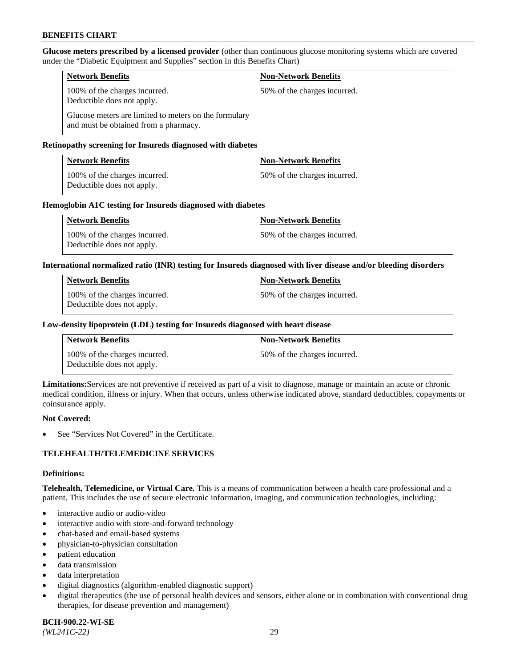**Glucose meters prescribed by a licensed provider** (other than continuous glucose monitoring systems which are covered under the "Diabetic Equipment and Supplies" section in this Benefits Chart)

| <b>Network Benefits</b>                                                                        | <b>Non-Network Benefits</b>  |
|------------------------------------------------------------------------------------------------|------------------------------|
| 100% of the charges incurred.<br>Deductible does not apply.                                    | 50% of the charges incurred. |
| Glucose meters are limited to meters on the formulary<br>and must be obtained from a pharmacy. |                              |

## **Retinopathy screening for Insureds diagnosed with diabetes**

| <b>Network Benefits</b>                                     | <b>Non-Network Benefits</b>  |
|-------------------------------------------------------------|------------------------------|
| 100% of the charges incurred.<br>Deductible does not apply. | 50% of the charges incurred. |

### **Hemoglobin A1C testing for Insureds diagnosed with diabetes**

| <b>Network Benefits</b>                                     | <b>Non-Network Benefits</b>  |
|-------------------------------------------------------------|------------------------------|
| 100% of the charges incurred.<br>Deductible does not apply. | 50% of the charges incurred. |

### **International normalized ratio (INR) testing for Insureds diagnosed with liver disease and/or bleeding disorders**

| <b>Network Benefits</b>                                     | <b>Non-Network Benefits</b>  |
|-------------------------------------------------------------|------------------------------|
| 100% of the charges incurred.<br>Deductible does not apply. | 50% of the charges incurred. |

## **Low-density lipoprotein (LDL) testing for Insureds diagnosed with heart disease**

| <b>Network Benefits</b>                                     | <b>Non-Network Benefits</b>  |
|-------------------------------------------------------------|------------------------------|
| 100% of the charges incurred.<br>Deductible does not apply. | 50% of the charges incurred. |

**Limitations:**Services are not preventive if received as part of a visit to diagnose, manage or maintain an acute or chronic medical condition, illness or injury. When that occurs, unless otherwise indicated above, standard deductibles, copayments or coinsurance apply.

#### **Not Covered:**

See "Services Not Covered" in the Certificate.

## **TELEHEALTH/TELEMEDICINE SERVICES**

#### **Definitions:**

**Telehealth, Telemedicine, or Virtual Care.** This is a means of communication between a health care professional and a patient. This includes the use of secure electronic information, imaging, and communication technologies, including:

- interactive audio or audio-video
- interactive audio with store-and-forward technology
- chat-based and email-based systems
- physician-to-physician consultation
- patient education
- data transmission
- data interpretation
- digital diagnostics (algorithm-enabled diagnostic support)
- digital therapeutics (the use of personal health devices and sensors, either alone or in combination with conventional drug therapies, for disease prevention and management)

**BCH-900.22-WI-SE**  *(WL241C-22)* 29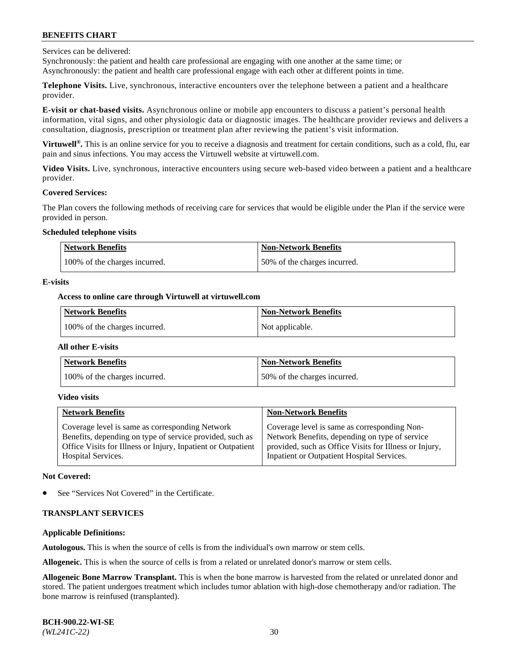Services can be delivered:

Synchronously: the patient and health care professional are engaging with one another at the same time; or Asynchronously: the patient and health care professional engage with each other at different points in time.

**Telephone Visits.** Live, synchronous, interactive encounters over the telephone between a patient and a healthcare provider.

**E-visit or chat-based visits.** Asynchronous online or mobile app encounters to discuss a patient's personal health information, vital signs, and other physiologic data or diagnostic images. The healthcare provider reviews and delivers a consultation, diagnosis, prescription or treatment plan after reviewing the patient's visit information.

**Virtuwell®.** This is an online service for you to receive a diagnosis and treatment for certain conditions, such as a cold, flu, ear pain and sinus infections. You may access the Virtuwell website at [virtuwell.com.](https://www.virtuwell.com/)

**Video Visits.** Live, synchronous, interactive encounters using secure web-based video between a patient and a healthcare provider.

#### **Covered Services:**

The Plan covers the following methods of receiving care for services that would be eligible under the Plan if the service were provided in person.

#### **Scheduled telephone visits**

| <b>Network Benefits</b>       | <b>Non-Network Benefits</b>  |
|-------------------------------|------------------------------|
| 100% of the charges incurred. | 50% of the charges incurred. |

### **E-visits**

## **Access to online care through Virtuwell at [virtuwell.com](https://www.virtuwell.com/)**

| Network Benefits              | <b>Non-Network Benefits</b> |
|-------------------------------|-----------------------------|
| 100% of the charges incurred. | Not applicable.             |

#### **All other E-visits**

| <b>Network Benefits</b>       | <b>Non-Network Benefits</b>  |
|-------------------------------|------------------------------|
| 100% of the charges incurred. | 50% of the charges incurred. |

#### **Video visits**

| <b>Network Benefits</b>                                      | <b>Non-Network Benefits</b>                            |
|--------------------------------------------------------------|--------------------------------------------------------|
| Coverage level is same as corresponding Network              | Coverage level is same as corresponding Non-           |
| Benefits, depending on type of service provided, such as     | Network Benefits, depending on type of service         |
| Office Visits for Illness or Injury, Inpatient or Outpatient | provided, such as Office Visits for Illness or Injury, |
| <b>Hospital Services.</b>                                    | Inpatient or Outpatient Hospital Services.             |

#### **Not Covered:**

See "Services Not Covered" in the Certificate.

## **TRANSPLANT SERVICES**

## **Applicable Definitions:**

**Autologous.** This is when the source of cells is from the individual's own marrow or stem cells.

**Allogeneic.** This is when the source of cells is from a related or unrelated donor's marrow or stem cells.

**Allogeneic Bone Marrow Transplant.** This is when the bone marrow is harvested from the related or unrelated donor and stored. The patient undergoes treatment which includes tumor ablation with high-dose chemotherapy and/or radiation. The bone marrow is reinfused (transplanted).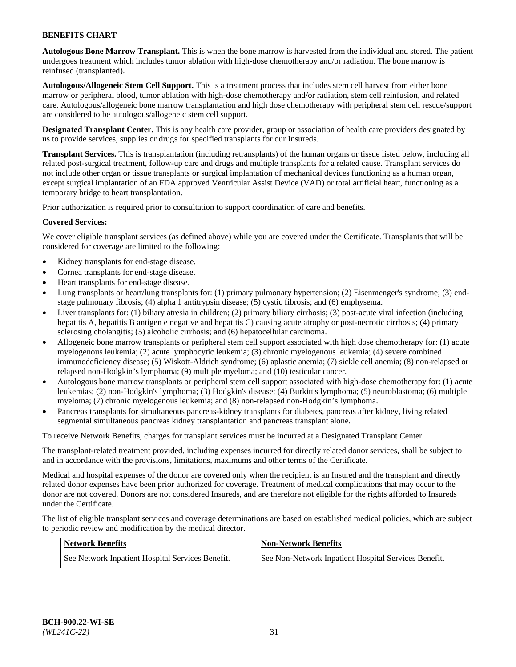**Autologous Bone Marrow Transplant.** This is when the bone marrow is harvested from the individual and stored. The patient undergoes treatment which includes tumor ablation with high-dose chemotherapy and/or radiation. The bone marrow is reinfused (transplanted).

**Autologous/Allogeneic Stem Cell Support.** This is a treatment process that includes stem cell harvest from either bone marrow or peripheral blood, tumor ablation with high-dose chemotherapy and/or radiation, stem cell reinfusion, and related care. Autologous/allogeneic bone marrow transplantation and high dose chemotherapy with peripheral stem cell rescue/support are considered to be autologous/allogeneic stem cell support.

**Designated Transplant Center.** This is any health care provider, group or association of health care providers designated by us to provide services, supplies or drugs for specified transplants for our Insureds.

**Transplant Services.** This is transplantation (including retransplants) of the human organs or tissue listed below, including all related post-surgical treatment, follow-up care and drugs and multiple transplants for a related cause. Transplant services do not include other organ or tissue transplants or surgical implantation of mechanical devices functioning as a human organ, except surgical implantation of an FDA approved Ventricular Assist Device (VAD) or total artificial heart, functioning as a temporary bridge to heart transplantation.

Prior authorization is required prior to consultation to support coordination of care and benefits.

### **Covered Services:**

We cover eligible transplant services (as defined above) while you are covered under the Certificate. Transplants that will be considered for coverage are limited to the following:

- Kidney transplants for end-stage disease.
- Cornea transplants for end-stage disease.
- Heart transplants for end-stage disease.
- Lung transplants or heart/lung transplants for: (1) primary pulmonary hypertension; (2) Eisenmenger's syndrome; (3) endstage pulmonary fibrosis; (4) alpha 1 antitrypsin disease; (5) cystic fibrosis; and (6) emphysema.
- Liver transplants for: (1) biliary atresia in children; (2) primary biliary cirrhosis; (3) post-acute viral infection (including hepatitis A, hepatitis B antigen e negative and hepatitis C) causing acute atrophy or post-necrotic cirrhosis; (4) primary sclerosing cholangitis; (5) alcoholic cirrhosis; and (6) hepatocellular carcinoma.
- Allogeneic bone marrow transplants or peripheral stem cell support associated with high dose chemotherapy for: (1) acute myelogenous leukemia; (2) acute lymphocytic leukemia; (3) chronic myelogenous leukemia; (4) severe combined immunodeficiency disease; (5) Wiskott-Aldrich syndrome; (6) aplastic anemia; (7) sickle cell anemia; (8) non-relapsed or relapsed non-Hodgkin's lymphoma; (9) multiple myeloma; and (10) testicular cancer.
- Autologous bone marrow transplants or peripheral stem cell support associated with high-dose chemotherapy for: (1) acute leukemias; (2) non-Hodgkin's lymphoma; (3) Hodgkin's disease; (4) Burkitt's lymphoma; (5) neuroblastoma; (6) multiple myeloma; (7) chronic myelogenous leukemia; and (8) non-relapsed non-Hodgkin's lymphoma.
- Pancreas transplants for simultaneous pancreas-kidney transplants for diabetes, pancreas after kidney, living related segmental simultaneous pancreas kidney transplantation and pancreas transplant alone.

To receive Network Benefits, charges for transplant services must be incurred at a Designated Transplant Center.

The transplant-related treatment provided, including expenses incurred for directly related donor services, shall be subject to and in accordance with the provisions, limitations, maximums and other terms of the Certificate.

Medical and hospital expenses of the donor are covered only when the recipient is an Insured and the transplant and directly related donor expenses have been prior authorized for coverage. Treatment of medical complications that may occur to the donor are not covered. Donors are not considered Insureds, and are therefore not eligible for the rights afforded to Insureds under the Certificate.

The list of eligible transplant services and coverage determinations are based on established medical policies, which are subject to periodic review and modification by the medical director.

| Network Benefits                                 | <b>Non-Network Benefits</b>                          |
|--------------------------------------------------|------------------------------------------------------|
| See Network Inpatient Hospital Services Benefit. | See Non-Network Inpatient Hospital Services Benefit. |